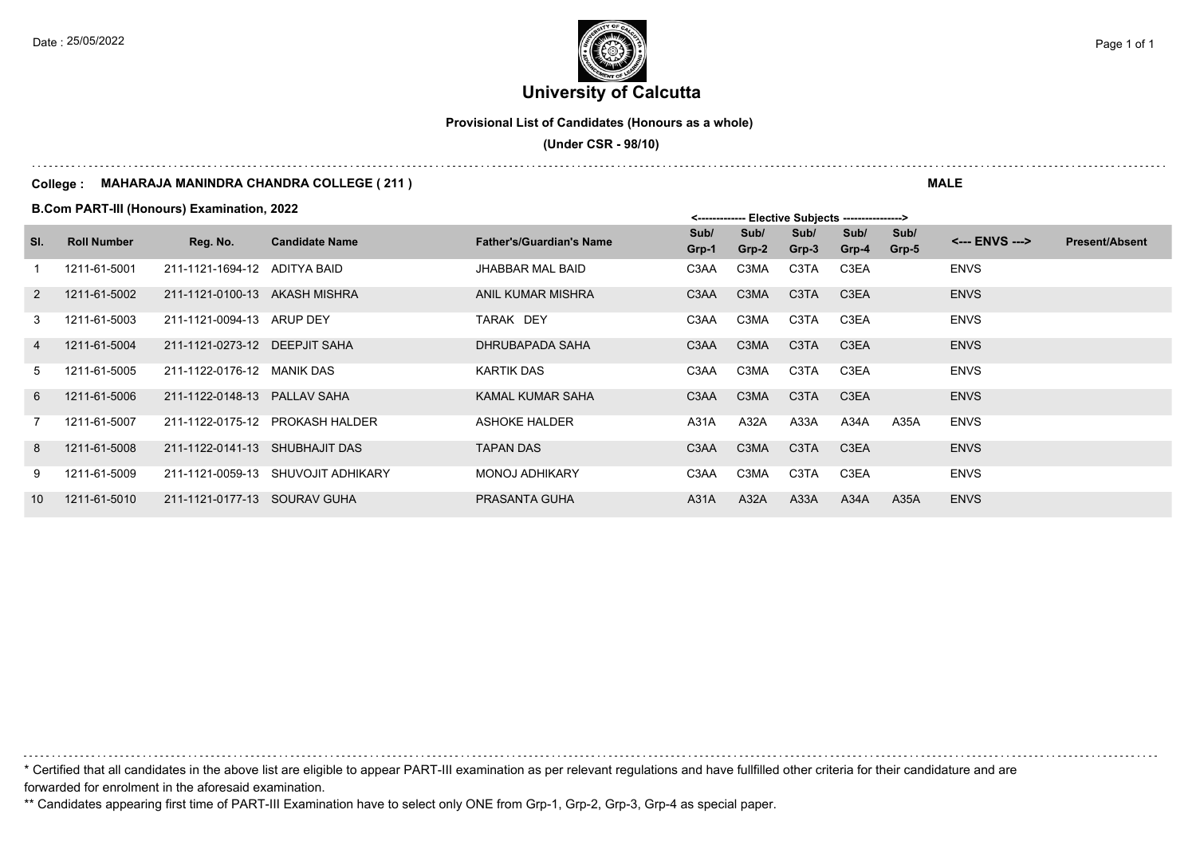**University of Calcutta**  Date : 25/05/2022 **Page 1 of 1**  $\left| \frac{1}{2} \right|$ 

**Provisional List of Candidates (Honours as a whole)**

 **(Under CSR - 98/10)**

#### **College : MAHARAJA MANINDRA CHANDRA COLLEGE ( 211 )**

**B.Com PART-III (Honours) Examination, 2022**

| SI. | <b>Roll Number</b> | Reg. No.                       | <b>Candidate Name</b>              | <b>Father's/Guardian's Name</b> | Sub/<br>Grp-1     | Sub/<br>$Grp-2$ | Sub/<br>Grp-3     | Sub/<br>$Grp-4$   | Sub/<br>Grp-5 | <--- ENVS ---> | <b>Present/Absent</b> |
|-----|--------------------|--------------------------------|------------------------------------|---------------------------------|-------------------|-----------------|-------------------|-------------------|---------------|----------------|-----------------------|
|     | 1211-61-5001       | 211-1121-1694-12 ADITYA BAID   |                                    | <b>JHABBAR MAL BAID</b>         | C <sub>3</sub> AA | C3MA            | C3TA              | C <sub>3</sub> EA |               | <b>ENVS</b>    |                       |
| 2   | 1211-61-5002       | 211-1121-0100-13 AKASH MISHRA  |                                    | <b>ANIL KUMAR MISHRA</b>        | C3AA              | C3MA            | C <sub>3</sub> TA | C <sub>3</sub> EA |               | <b>ENVS</b>    |                       |
| 3   | 1211-61-5003       | 211-1121-0094-13 ARUP DEY      |                                    | TARAK DEY                       | C3AA              | C3MA            | C3TA              | C3EA              |               | <b>ENVS</b>    |                       |
| 4   | 1211-61-5004       | 211-1121-0273-12 DEEPJIT SAHA  |                                    | DHRUBAPADA SAHA                 | C <sub>3</sub> AA | C3MA            | C <sub>3</sub> TA | C <sub>3</sub> EA |               | <b>ENVS</b>    |                       |
| 5   | 1211-61-5005       | 211-1122-0176-12 MANIK DAS     |                                    | <b>KARTIK DAS</b>               | C3AA              | C3MA            | C3TA              | C3EA              |               | <b>ENVS</b>    |                       |
| 6   | 1211-61-5006       | 211-1122-0148-13 PALLAV SAHA   |                                    | <b>KAMAL KUMAR SAHA</b>         | C <sub>3</sub> AA | C3MA            | C <sub>3</sub> TA | C <sub>3</sub> EA |               | <b>ENVS</b>    |                       |
| 7   | 1211-61-5007       |                                | 211-1122-0175-12 PROKASH HALDER    | ASHOKE HALDER                   | A31A              | A32A            | A33A              | A34A              | A35A          | <b>ENVS</b>    |                       |
| 8   | 1211-61-5008       | 211-1122-0141-13 SHUBHAJIT DAS |                                    | <b>TAPAN DAS</b>                | C <sub>3</sub> AA | C3MA            | C <sub>3</sub> TA | C <sub>3</sub> EA |               | <b>ENVS</b>    |                       |
| 9   | 1211-61-5009       |                                | 211-1121-0059-13 SHUVOJIT ADHIKARY | <b>MONOJ ADHIKARY</b>           | C3AA              | C3MA            | C3TA              | C <sub>3</sub> EA |               | <b>ENVS</b>    |                       |
| 10  | 1211-61-5010       | 211-1121-0177-13 SOURAV GUHA   |                                    | <b>PRASANTA GUHA</b>            | A31A              | A32A            | A33A              | A34A              | A35A          | <b>ENVS</b>    |                       |

\* Certified that all candidates in the above list are eligible to appear PART-III examination as per relevant regulations and have fullfilled other criteria for their candidature and are forwarded for enrolment in the aforesaid examination.

\*\* Candidates appearing first time of PART-III Examination have to select only ONE from Grp-1, Grp-2, Grp-3, Grp-4 as special paper.

**MALE**

 $\mathsf{E}$ loctive Subjects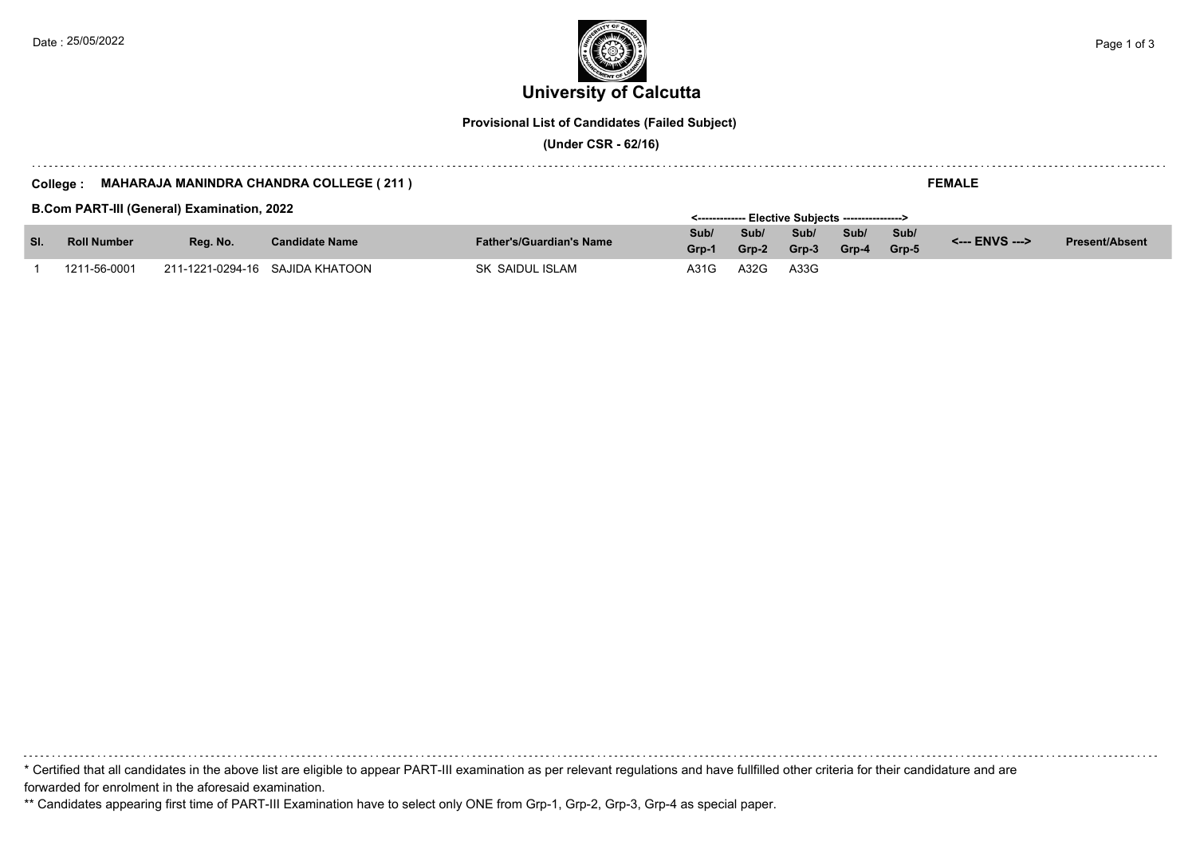**University of Calcutta**  Date : 25/05/2022 **Page 1 of 3**  $\left| \frac{1}{2} \right|$ 

**Provisional List of Candidates (Failed Subject)**

 **(Under CSR - 62/16)**

#### **College : MAHARAJA MANINDRA CHANDRA COLLEGE ( 211 )**

**B.Com PART-III (General) Examination, 2022**

|                           |              | <b>B.COM PART-IN (General) Examination, 2022</b> |                                 |                                 |               |               | <-------------- Elective Subiects ----------------> |               |               |                |                       |
|---------------------------|--------------|--------------------------------------------------|---------------------------------|---------------------------------|---------------|---------------|-----------------------------------------------------|---------------|---------------|----------------|-----------------------|
| SI.<br><b>Roll Number</b> |              | Rea. No.                                         | <b>Candidate Name</b>           | <b>Father's/Guardian's Name</b> | Sub/<br>Grp-1 | Sub/<br>Grp-2 | Sub/<br>Grp-3                                       | Sub/<br>Grp-4 | Sub/<br>Grp-5 | <--- ENVS ---> | <b>Present/Absent</b> |
|                           |              |                                                  |                                 |                                 |               |               |                                                     |               |               |                |                       |
|                           | 1211-56-0001 |                                                  | 211-1221-0294-16 SAJIDA KHATOON | SK SAIDUL ISLAM                 | A31G          | A32G          | A33G                                                |               |               |                |                       |

\* Certified that all candidates in the above list are eligible to appear PART-III examination as per relevant regulations and have fullfilled other criteria for their candidature and are forwarded for enrolment in the aforesaid examination.

\*\* Candidates appearing first time of PART-III Examination have to select only ONE from Grp-1, Grp-2, Grp-3, Grp-4 as special paper.

**FEMALE**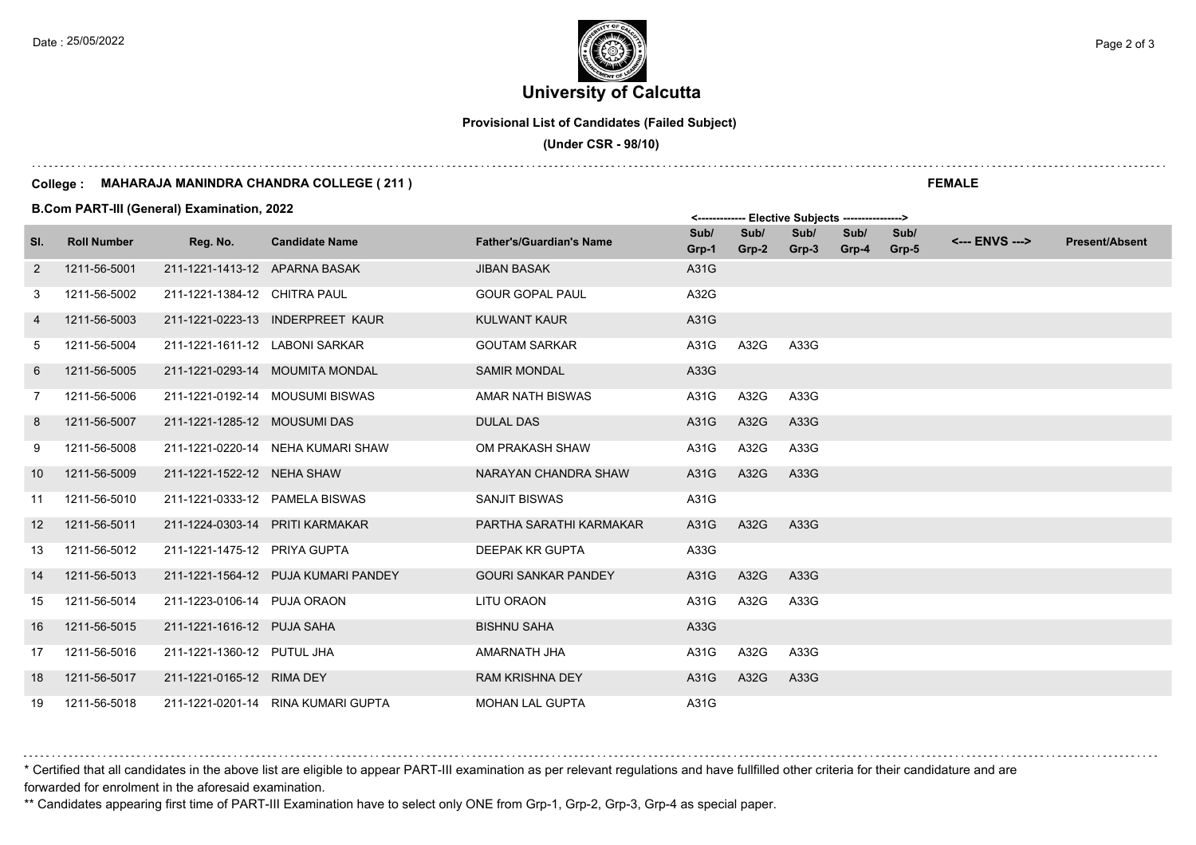### **University of Calcutta**  Date : 25/05/2022 **Page 2 of 3**  $\left($   $\frac{1}{2}$   $\left($   $\frac{1}{2}$   $\frac{1}{2}$   $\right)$   $\left($   $\frac{1}{2}$   $\frac{1}{2}$   $\frac{1}{2}$   $\frac{1}{2}$   $\frac{1}{2}$   $\frac{1}{2}$   $\frac{1}{2}$   $\frac{1}{2}$   $\frac{1}{2}$   $\frac{1}{2}$   $\frac{1}{2}$   $\frac{1}{2}$   $\frac{1}{2}$   $\frac{1$

**Provisional List of Candidates (Failed Subject)**

 **(Under CSR - 98/10)**

#### **College : MAHARAJA MANINDRA CHANDRA COLLEGE ( 211 )**

**B.Com PART-III (General) Examination, 2022**

|     |                    |                                 |                                     |                                 |               |               | <b>LIGALITE ARMIGALS</b> |               |               |                |                       |
|-----|--------------------|---------------------------------|-------------------------------------|---------------------------------|---------------|---------------|--------------------------|---------------|---------------|----------------|-----------------------|
| SI. | <b>Roll Number</b> | Reg. No.                        | <b>Candidate Name</b>               | <b>Father's/Guardian's Name</b> | Sub/<br>Grp-1 | Sub/<br>Grp-2 | Sub/<br>Grp-3            | Sub/<br>Grp-4 | Sub/<br>Grp-5 | <--- ENVS ---> | <b>Present/Absent</b> |
| 2   | 1211-56-5001       | 211-1221-1413-12 APARNA BASAK   |                                     | <b>JIBAN BASAK</b>              | A31G          |               |                          |               |               |                |                       |
| 3   | 1211-56-5002       | 211-1221-1384-12 CHITRA PAUL    |                                     | <b>GOUR GOPAL PAUL</b>          | A32G          |               |                          |               |               |                |                       |
| 4   | 1211-56-5003       |                                 | 211-1221-0223-13 INDERPREET KAUR    | <b>KULWANT KAUR</b>             | A31G          |               |                          |               |               |                |                       |
| 5   | 1211-56-5004       | 211-1221-1611-12 LABONI SARKAR  |                                     | <b>GOUTAM SARKAR</b>            | A31G          | A32G          | A33G                     |               |               |                |                       |
| 6   | 1211-56-5005       |                                 | 211-1221-0293-14 MOUMITA MONDAL     | <b>SAMIR MONDAL</b>             | A33G          |               |                          |               |               |                |                       |
| 7   | 1211-56-5006       |                                 | 211-1221-0192-14 MOUSUMI BISWAS     | AMAR NATH BISWAS                | A31G          | A32G          | A33G                     |               |               |                |                       |
| 8   | 1211-56-5007       | 211-1221-1285-12 MOUSUMI DAS    |                                     | <b>DULAL DAS</b>                | A31G          | A32G          | A33G                     |               |               |                |                       |
| 9   | 1211-56-5008       |                                 | 211-1221-0220-14 NEHA KUMARI SHAW   | OM PRAKASH SHAW                 | A31G          | A32G          | A33G                     |               |               |                |                       |
| 10  | 1211-56-5009       | 211-1221-1522-12 NEHA SHAW      |                                     | NARAYAN CHANDRA SHAW            | A31G          | A32G          | A33G                     |               |               |                |                       |
| 11  | 1211-56-5010       | 211-1221-0333-12 PAMELA BISWAS  |                                     | <b>SANJIT BISWAS</b>            | A31G          |               |                          |               |               |                |                       |
| 12  | 1211-56-5011       | 211-1224-0303-14 PRITI KARMAKAR |                                     | PARTHA SARATHI KARMAKAR         | A31G          | A32G          | A33G                     |               |               |                |                       |
| 13  | 1211-56-5012       | 211-1221-1475-12 PRIYA GUPTA    |                                     | DEEPAK KR GUPTA                 | A33G          |               |                          |               |               |                |                       |
| 14  | 1211-56-5013       |                                 | 211-1221-1564-12 PUJA KUMARI PANDEY | <b>GOURI SANKAR PANDEY</b>      | A31G          | A32G          | A33G                     |               |               |                |                       |
| 15  | 1211-56-5014       | 211-1223-0106-14 PUJA ORAON     |                                     | LITU ORAON                      | A31G          | A32G          | A33G                     |               |               |                |                       |
| 16  | 1211-56-5015       | 211-1221-1616-12 PUJA SAHA      |                                     | <b>BISHNU SAHA</b>              | A33G          |               |                          |               |               |                |                       |
| 17  | 1211-56-5016       | 211-1221-1360-12 PUTUL JHA      |                                     | AMARNATH JHA                    | A31G          | A32G          | A33G                     |               |               |                |                       |
| 18  | 1211-56-5017       | 211-1221-0165-12 RIMA DEY       |                                     | <b>RAM KRISHNA DEY</b>          | A31G          | A32G          | A33G                     |               |               |                |                       |
| 19  | 1211-56-5018       |                                 | 211-1221-0201-14 RINA KUMARI GUPTA  | <b>MOHAN LAL GUPTA</b>          | A31G          |               |                          |               |               |                |                       |

\* Certified that all candidates in the above list are eligible to appear PART-III examination as per relevant regulations and have fullfilled other criteria for their candidature and are forwarded for enrolment in the aforesaid examination.

\*\* Candidates appearing first time of PART-III Examination have to select only ONE from Grp-1, Grp-2, Grp-3, Grp-4 as special paper.

**FEMALE**

 $\mathsf{E}$ lective Subjects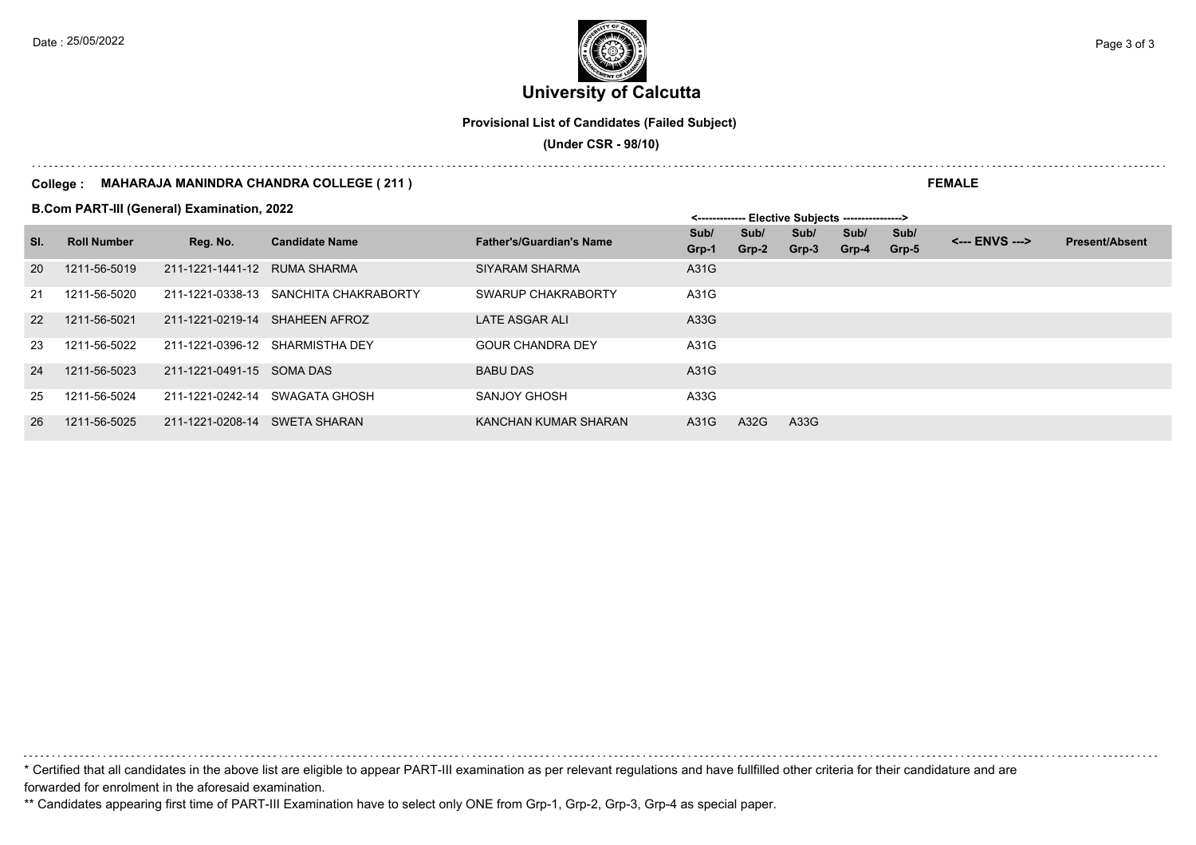**University of Calcutta**  Date : 25/05/2022 **Page 3 of 3**  $\left[\frac{1}{2}\right]$ 

**Provisional List of Candidates (Failed Subject)**

 **(Under CSR - 98/10)**

#### **College : MAHARAJA MANINDRA CHANDRA COLLEGE ( 211 )**

**B.Com PART-III (General) Examination, 2022**

|           |                    |                              |                                       |                                 | <b>LIGGING OUDIGGLS</b> ------------------ |         |       |       |       |                |                       |
|-----------|--------------------|------------------------------|---------------------------------------|---------------------------------|--------------------------------------------|---------|-------|-------|-------|----------------|-----------------------|
| SI.       | <b>Roll Number</b> | Reg. No.                     | <b>Candidate Name</b>                 | <b>Father's/Guardian's Name</b> | Sub/                                       | Sub/    | Sub/  | Sub/  | Sub/  | <--- ENVS ---> | <b>Present/Absent</b> |
|           |                    |                              |                                       |                                 | Grp-1                                      | $Grp-2$ | Grp-3 | Grp-4 | Grp-5 |                |                       |
| <b>20</b> | 1211-56-5019       | 211-1221-1441-12 RUMA SHARMA |                                       | SIYARAM SHARMA                  | A31G                                       |         |       |       |       |                |                       |
| 21        | 1211-56-5020       |                              | 211-1221-0338-13 SANCHITA CHAKRABORTY | SWARUP CHAKRABORTY              | A31G                                       |         |       |       |       |                |                       |
| <b>22</b> | 1211-56-5021       |                              | 211-1221-0219-14 SHAHEEN AFROZ        | <b>LATE ASGAR ALI</b>           | A33G                                       |         |       |       |       |                |                       |
| 23        | 1211-56-5022       |                              | 211-1221-0396-12 SHARMISTHA DEY       | <b>GOUR CHANDRA DEY</b>         | A31G                                       |         |       |       |       |                |                       |
| 24        | 1211-56-5023       | 211-1221-0491-15 SOMA DAS    |                                       | <b>BABU DAS</b>                 | A31G                                       |         |       |       |       |                |                       |
| 25        | 1211-56-5024       | 211-1221-0242-14             | SWAGATA GHOSH                         | SANJOY GHOSH                    | A33G                                       |         |       |       |       |                |                       |
| 26        | 1211-56-5025       | 211-1221-0208-14             | SWETA SHARAN                          | KANCHAN KUMAR SHARAN            | A31G                                       | A32G    | A33G  |       |       |                |                       |

\* Certified that all candidates in the above list are eligible to appear PART-III examination as per relevant regulations and have fullfilled other criteria for their candidature and are forwarded for enrolment in the aforesaid examination.

\*\* Candidates appearing first time of PART-III Examination have to select only ONE from Grp-1, Grp-2, Grp-3, Grp-4 as special paper.

**FEMALE**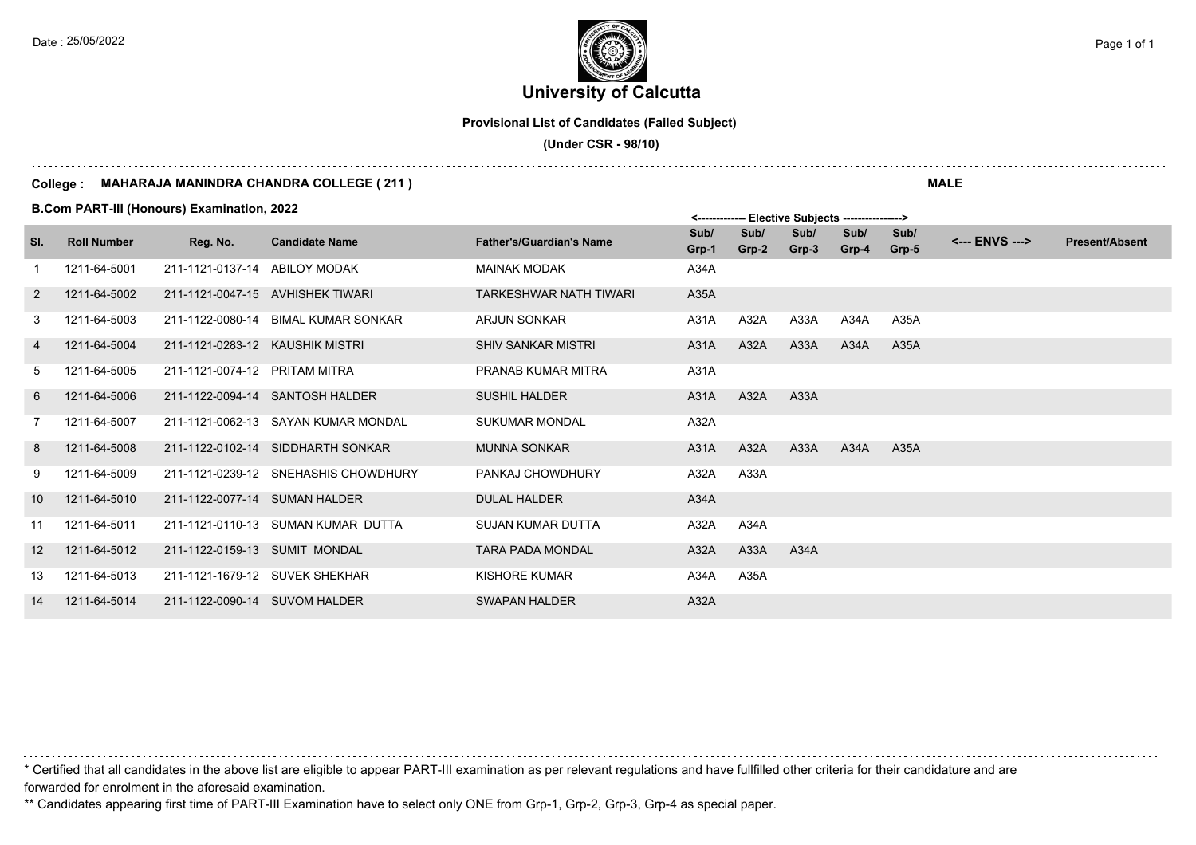**University of Calcutta**  Date : 25/05/2022 **Page 1 of 1**  $\left| \frac{1}{2} \right|$ 

**Provisional List of Candidates (Failed Subject)**

 **(Under CSR - 98/10)**

#### **College : MAHARAJA MANINDRA CHANDRA COLLEGE ( 211 )**

**B.Com PART-III (Honours) Examination, 2022**

|         |                    | <b>B.COM PART-IN (HONOURS) EXAMINATION, 2022</b> |                                      |                                 | <------------- Elective Subjects ----------------> |               |               |               |               |                |                       |
|---------|--------------------|--------------------------------------------------|--------------------------------------|---------------------------------|----------------------------------------------------|---------------|---------------|---------------|---------------|----------------|-----------------------|
| SI.     | <b>Roll Number</b> | Reg. No.                                         | <b>Candidate Name</b>                | <b>Father's/Guardian's Name</b> | Sub/<br>Grp-1                                      | Sub/<br>Grp-2 | Sub/<br>Grp-3 | Sub/<br>Grp-4 | Sub/<br>Grp-5 | <--- ENVS ---> | <b>Present/Absent</b> |
|         | 1211-64-5001       | 211-1121-0137-14 ABILOY MODAK                    |                                      | <b>MAINAK MODAK</b>             | A34A                                               |               |               |               |               |                |                       |
| 2       | 1211-64-5002       |                                                  | 211-1121-0047-15 AVHISHEK TIWARI     | <b>TARKESHWAR NATH TIWARI</b>   | A35A                                               |               |               |               |               |                |                       |
| 3       | 1211-64-5003       |                                                  | 211-1122-0080-14 BIMAL KUMAR SONKAR  | <b>ARJUN SONKAR</b>             | A31A                                               | A32A          | A33A          | A34A          | A35A          |                |                       |
| 4       | 1211-64-5004       | 211-1121-0283-12 KAUSHIK MISTRI                  |                                      | <b>SHIV SANKAR MISTRI</b>       | A31A                                               | A32A          | A33A          | A34A          | A35A          |                |                       |
| 5       | 1211-64-5005       | 211-1121-0074-12 PRITAM MITRA                    |                                      | PRANAB KUMAR MITRA              | A31A                                               |               |               |               |               |                |                       |
| 6       | 1211-64-5006       |                                                  | 211-1122-0094-14 SANTOSH HALDER      | <b>SUSHIL HALDER</b>            | A31A                                               | A32A          | A33A          |               |               |                |                       |
|         | 1211-64-5007       |                                                  | 211-1121-0062-13 SAYAN KUMAR MONDAL  | <b>SUKUMAR MONDAL</b>           | A32A                                               |               |               |               |               |                |                       |
| 8       | 1211-64-5008       |                                                  | 211-1122-0102-14 SIDDHARTH SONKAR    | <b>MUNNA SONKAR</b>             | A31A                                               | A32A          | A33A          | A34A          | A35A          |                |                       |
| 9       | 1211-64-5009       |                                                  | 211-1121-0239-12 SNEHASHIS CHOWDHURY | PANKAJ CHOWDHURY                | A32A                                               | A33A          |               |               |               |                |                       |
| 10      | 1211-64-5010       | 211-1122-0077-14 SUMAN HALDER                    |                                      | <b>DULAL HALDER</b>             | A34A                                               |               |               |               |               |                |                       |
| 11      | 1211-64-5011       |                                                  | 211-1121-0110-13 SUMAN KUMAR DUTTA   | <b>SUJAN KUMAR DUTTA</b>        | A32A                                               | A34A          |               |               |               |                |                       |
| $12 \,$ | 1211-64-5012       | 211-1122-0159-13 SUMIT MONDAL                    |                                      | <b>TARA PADA MONDAL</b>         | A32A                                               | A33A          | A34A          |               |               |                |                       |
| 13      | 1211-64-5013       |                                                  | 211-1121-1679-12 SUVEK SHEKHAR       | KISHORE KUMAR                   | A34A                                               | A35A          |               |               |               |                |                       |
| 14      | 1211-64-5014       | 211-1122-0090-14 SUVOM HALDER                    |                                      | <b>SWAPAN HALDER</b>            | A32A                                               |               |               |               |               |                |                       |

\* Certified that all candidates in the above list are eligible to appear PART-III examination as per relevant regulations and have fullfilled other criteria for their candidature and are forwarded for enrolment in the aforesaid examination.

\*\* Candidates appearing first time of PART-III Examination have to select only ONE from Grp-1, Grp-2, Grp-3, Grp-4 as special paper.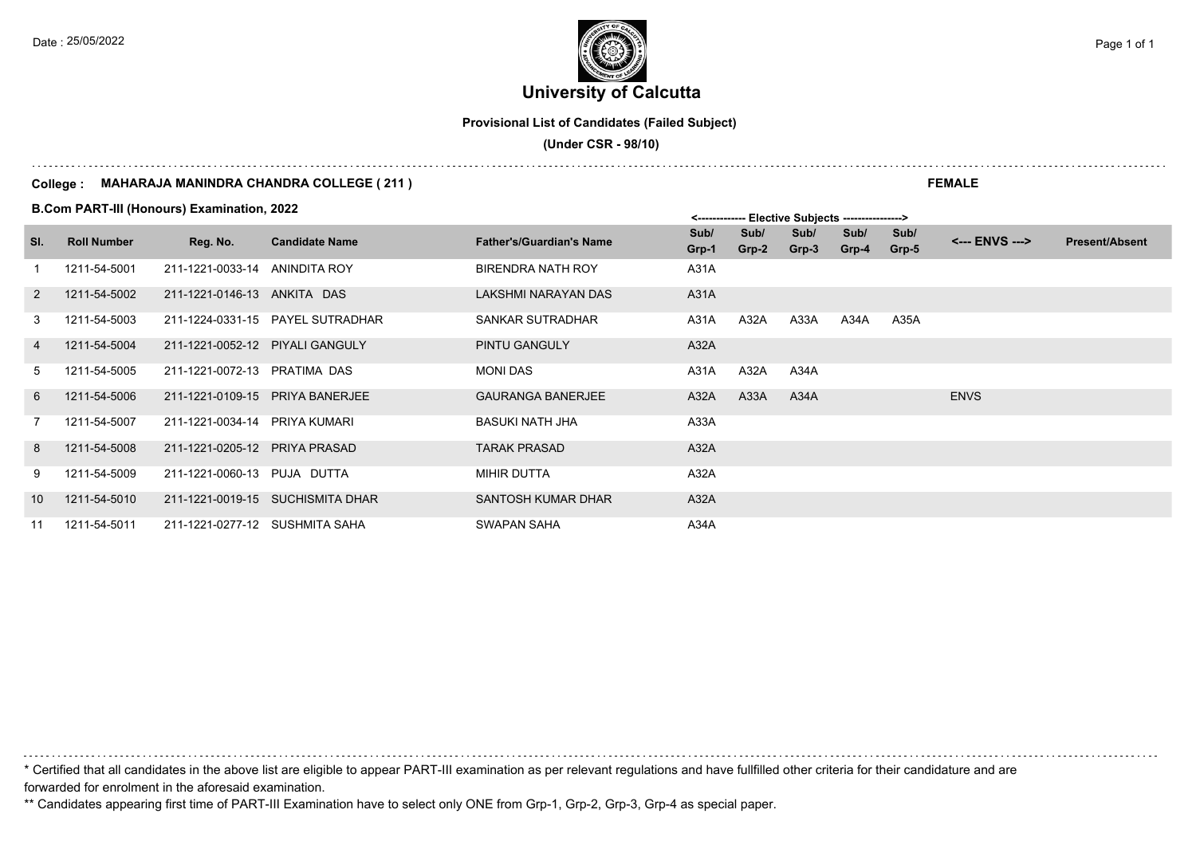**University of Calcutta**  Date : 25/05/2022 **Page 1 of 1**  $\left| \frac{1}{2} \right|$ 

**Provisional List of Candidates (Failed Subject)**

 **(Under CSR - 98/10)**

#### **College : MAHARAJA MANINDRA CHANDRA COLLEGE ( 211 )**

**B.Com PART-III (Honours) Examination, 2022**

|                |                    |                                 |                                  |                                 | ------- בוסטוןסטס סיום י |               |               |                 |               |                |                       |
|----------------|--------------------|---------------------------------|----------------------------------|---------------------------------|--------------------------|---------------|---------------|-----------------|---------------|----------------|-----------------------|
| SI.            | <b>Roll Number</b> | Reg. No.                        | <b>Candidate Name</b>            | <b>Father's/Guardian's Name</b> | Sub/<br>Grp-1            | Sub/<br>Grp-2 | Sub/<br>Grp-3 | Sub/<br>$Grp-4$ | Sub/<br>Grp-5 | <--- ENVS ---> | <b>Present/Absent</b> |
|                | 1211-54-5001       | 211-1221-0033-14 ANINDITA ROY   |                                  | <b>BIRENDRA NATH ROY</b>        | A31A                     |               |               |                 |               |                |                       |
| 2              | 1211-54-5002       | 211-1221-0146-13 ANKITA DAS     |                                  | LAKSHMI NARAYAN DAS             | A31A                     |               |               |                 |               |                |                       |
| 3              | 1211-54-5003       |                                 | 211-1224-0331-15 PAYEL SUTRADHAR | SANKAR SUTRADHAR                | A31A                     | A32A          | A33A          | A34A            | A35A          |                |                       |
| $\overline{4}$ | 1211-54-5004       | 211-1221-0052-12 PIYALI GANGULY |                                  | PINTU GANGULY                   | A32A                     |               |               |                 |               |                |                       |
| 5              | 1211-54-5005       | 211-1221-0072-13 PRATIMA DAS    |                                  | <b>MONI DAS</b>                 | A31A                     | A32A          | A34A          |                 |               |                |                       |
| 6              | 1211-54-5006       |                                 | 211-1221-0109-15 PRIYA BANERJEE  | <b>GAURANGA BANERJEE</b>        | A32A                     | A33A          | A34A          |                 |               | <b>ENVS</b>    |                       |
| 7              | 1211-54-5007       | 211-1221-0034-14 PRIYA KUMARI   |                                  | BASUKI NATH JHA                 | A33A                     |               |               |                 |               |                |                       |
| 8              | 1211-54-5008       | 211-1221-0205-12 PRIYA PRASAD   |                                  | <b>TARAK PRASAD</b>             | A32A                     |               |               |                 |               |                |                       |
| 9              | 1211-54-5009       | 211-1221-0060-13 PUJA DUTTA     |                                  | <b>MIHIR DUTTA</b>              | A32A                     |               |               |                 |               |                |                       |
| 10             | 1211-54-5010       |                                 | 211-1221-0019-15 SUCHISMITA DHAR | SANTOSH KUMAR DHAR              | A32A                     |               |               |                 |               |                |                       |
| 11             | 1211-54-5011       | 211-1221-0277-12 SUSHMITA SAHA  |                                  | SWAPAN SAHA                     | A34A                     |               |               |                 |               |                |                       |

\* Certified that all candidates in the above list are eligible to appear PART-III examination as per relevant regulations and have fullfilled other criteria for their candidature and are forwarded for enrolment in the aforesaid examination.

\*\* Candidates appearing first time of PART-III Examination have to select only ONE from Grp-1, Grp-2, Grp-3, Grp-4 as special paper.

**FEMALE**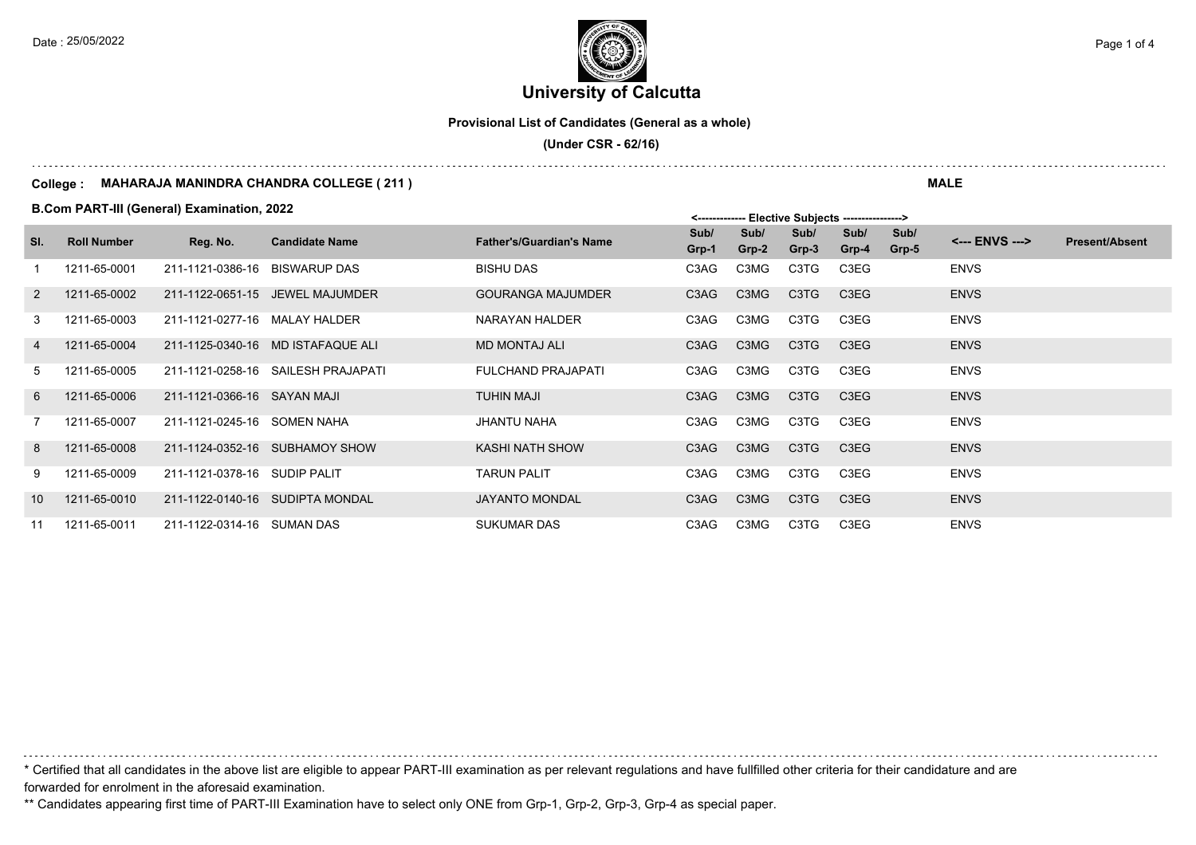**University of Calcutta**  Date : 25/05/2022 **Page 1 of 4**  $\epsilon$  Page 1 of 4

**Provisional List of Candidates (General as a whole)**

 **(Under CSR - 62/16)**

#### **College : MAHARAJA MANINDRA CHANDRA COLLEGE ( 211 )**

**B.Com PART-III (General) Examination, 2022**

|                |                    | <b>B.COM PART-IN (General) Examination, 2022</b> |                                    |                                 |               |               | <------------- Elective Subjects ----------------> |                               |               |                |                       |  |
|----------------|--------------------|--------------------------------------------------|------------------------------------|---------------------------------|---------------|---------------|----------------------------------------------------|-------------------------------|---------------|----------------|-----------------------|--|
| SI.            | <b>Roll Number</b> | Reg. No.                                         | <b>Candidate Name</b>              | <b>Father's/Guardian's Name</b> | Sub/<br>Grp-1 | Sub/<br>Grp-2 | Sub/<br>Grp-3                                      | Sub/<br>Grp-4                 | Sub/<br>Grp-5 | <--- ENVS ---> | <b>Present/Absent</b> |  |
|                | 1211-65-0001       | 211-1121-0386-16                                 | BISWARUP DAS                       | <b>BISHU DAS</b>                | C3AG          | C3MG          | C3TG                                               | C3EG                          |               | <b>ENVS</b>    |                       |  |
| 2              | 1211-65-0002       | 211-1122-0651-15                                 | JEWEL MAJUMDER                     | <b>GOURANGA MAJUMDER</b>        | C3AG          | C3MG          | C <sub>3</sub> T <sub>G</sub>                      | C <sub>3</sub> E <sub>G</sub> |               | <b>ENVS</b>    |                       |  |
| 3              | 1211-65-0003       | 211-1121-0277-16 MALAY HALDER                    |                                    | NARAYAN HALDER                  | C3AG          | C3MG          | C3TG                                               | C3EG                          |               | <b>ENVS</b>    |                       |  |
| $\overline{4}$ | 1211-65-0004       |                                                  | 211-1125-0340-16 MD ISTAFAQUE ALI  | <b>MD MONTAJ ALI</b>            | C3AG          | C3MG          | C <sub>3</sub> T <sub>G</sub>                      | C3EG                          |               | <b>ENVS</b>    |                       |  |
| 5              | 1211-65-0005       |                                                  | 211-1121-0258-16 SAILESH PRAJAPATI | <b>FULCHAND PRAJAPATI</b>       | C3AG          | C3MG          | C3TG                                               | C3EG                          |               | <b>ENVS</b>    |                       |  |
| 6              | 1211-65-0006       | 211-1121-0366-16 SAYAN MAJI                      |                                    | <b>TUHIN MAJI</b>               | C3AG          | C3MG          | C <sub>3</sub> T <sub>G</sub>                      | C <sub>3</sub> E <sub>G</sub> |               | <b>ENVS</b>    |                       |  |
| 7              | 1211-65-0007       | 211-1121-0245-16 SOMEN NAHA                      |                                    | <b>JHANTU NAHA</b>              | C3AG          | C3MG          | C3TG                                               | C3EG                          |               | <b>ENVS</b>    |                       |  |
| 8              | 1211-65-0008       |                                                  | 211-1124-0352-16 SUBHAMOY SHOW     | KASHI NATH SHOW                 | C3AG          | C3MG          | C <sub>3</sub> T <sub>G</sub>                      | C3EG                          |               | <b>ENVS</b>    |                       |  |
| 9              | 1211-65-0009       | 211-1121-0378-16 SUDIP PALIT                     |                                    | <b>TARUN PALIT</b>              | C3AG          | C3MG          | C3TG                                               | C3EG                          |               | <b>ENVS</b>    |                       |  |
| 10             | 1211-65-0010       |                                                  | 211-1122-0140-16 SUDIPTA MONDAL    | <b>JAYANTO MONDAL</b>           | C3AG          | C3MG          | C3TG                                               | C3EG                          |               | <b>ENVS</b>    |                       |  |
| 11             | 1211-65-0011       | 211-1122-0314-16 SUMAN DAS                       |                                    | <b>SUKUMAR DAS</b>              | C3AG          | C3MG          | C3TG                                               | C3EG                          |               | <b>ENVS</b>    |                       |  |

\* Certified that all candidates in the above list are eligible to appear PART-III examination as per relevant regulations and have fullfilled other criteria for their candidature and are forwarded for enrolment in the aforesaid examination.

\*\* Candidates appearing first time of PART-III Examination have to select only ONE from Grp-1, Grp-2, Grp-3, Grp-4 as special paper.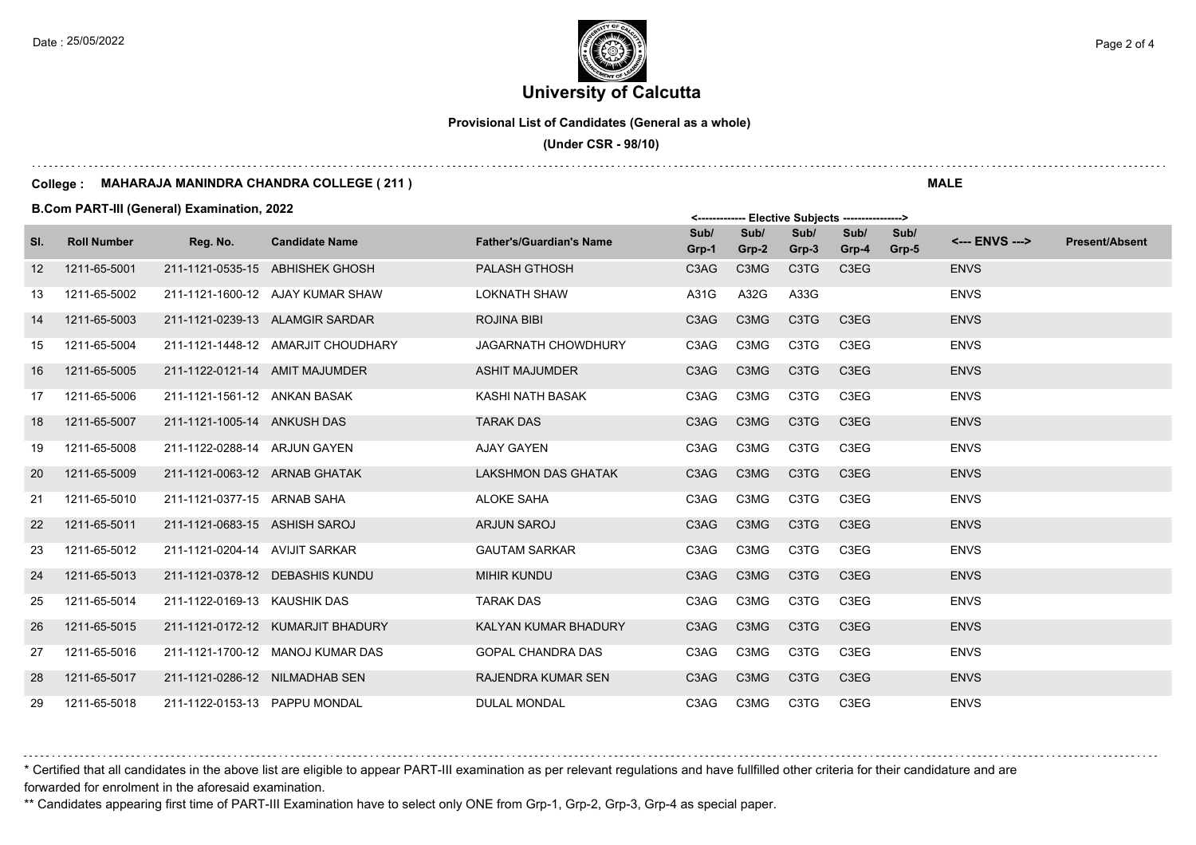# **University of Calcutta**  Date : 25/05/2022 **Page 2 of 4**  $\epsilon$  Page 2 of 4

**Provisional List of Candidates (General as a whole)**

 **(Under CSR - 98/10)**

#### **College : MAHARAJA MANINDRA CHANDRA COLLEGE ( 211 )**

**B.Com PART-III (General) Examination, 2022**

|                   |                    | <b>B.COM PART-IN (General) Examination, 2022</b> |                                    |                                 | <------------- Elective Subjects ----------------> |               |                               |                               |               |                |                       |
|-------------------|--------------------|--------------------------------------------------|------------------------------------|---------------------------------|----------------------------------------------------|---------------|-------------------------------|-------------------------------|---------------|----------------|-----------------------|
| SI.               | <b>Roll Number</b> | Reg. No.                                         | <b>Candidate Name</b>              | <b>Father's/Guardian's Name</b> | Sub/<br>Grp-1                                      | Sub/<br>Grp-2 | Sub/<br>Grp-3                 | Sub/<br>Grp-4                 | Sub/<br>Grp-5 | <--- ENVS ---> | <b>Present/Absent</b> |
| $12 \overline{ }$ | 1211-65-5001       |                                                  | 211-1121-0535-15 ABHISHEK GHOSH    | <b>PALASH GTHOSH</b>            | C <sub>3</sub> A <sub>G</sub>                      | C3MG          | C <sub>3</sub> T <sub>G</sub> | C <sub>3</sub> E <sub>G</sub> |               | <b>ENVS</b>    |                       |
| 13                | 1211-65-5002       |                                                  | 211-1121-1600-12 AJAY KUMAR SHAW   | <b>LOKNATH SHAW</b>             | A31G                                               | A32G          | A33G                          |                               |               | <b>ENVS</b>    |                       |
| 14                | 1211-65-5003       |                                                  | 211-1121-0239-13 ALAMGIR SARDAR    | <b>ROJINA BIBI</b>              | C3AG                                               | C3MG          | C <sub>3</sub> T <sub>G</sub> | C <sub>3</sub> E <sub>G</sub> |               | <b>ENVS</b>    |                       |
| 15                | 1211-65-5004       |                                                  | 211-1121-1448-12 AMARJIT CHOUDHARY | <b>JAGARNATH CHOWDHURY</b>      | C3AG                                               | C3MG          | C3TG                          | C3EG                          |               | <b>ENVS</b>    |                       |
| 16                | 1211-65-5005       | 211-1122-0121-14 AMIT MAJUMDER                   |                                    | <b>ASHIT MAJUMDER</b>           | C3AG                                               | C3MG          | C <sub>3</sub> T <sub>G</sub> | C <sub>3</sub> E <sub>G</sub> |               | <b>ENVS</b>    |                       |
| 17                | 1211-65-5006       | 211-1121-1561-12 ANKAN BASAK                     |                                    | KASHI NATH BASAK                | C3AG                                               | C3MG          | C3TG                          | C3EG                          |               | <b>ENVS</b>    |                       |
| 18                | 1211-65-5007       | 211-1121-1005-14 ANKUSH DAS                      |                                    | <b>TARAK DAS</b>                | C3AG                                               | C3MG          | C <sub>3</sub> T <sub>G</sub> | C3EG                          |               | <b>ENVS</b>    |                       |
| 19                | 1211-65-5008       | 211-1122-0288-14 ARJUN GAYEN                     |                                    | AJAY GAYEN                      | C3AG                                               | C3MG          | C3TG                          | C3EG                          |               | <b>ENVS</b>    |                       |
| 20                | 1211-65-5009       | 211-1121-0063-12 ARNAB GHATAK                    |                                    | <b>LAKSHMON DAS GHATAK</b>      | C <sub>3</sub> A <sub>G</sub>                      | C3MG          | C <sub>3</sub> T <sub>G</sub> | C <sub>3</sub> E <sub>G</sub> |               | <b>ENVS</b>    |                       |
| 21                | 1211-65-5010       | 211-1121-0377-15 ARNAB SAHA                      |                                    | <b>ALOKE SAHA</b>               | C3AG                                               | C3MG          | C3TG                          | C3EG                          |               | <b>ENVS</b>    |                       |
| 22                | 1211-65-5011       | 211-1121-0683-15 ASHISH SAROJ                    |                                    | ARJUN SAROJ                     | C <sub>3</sub> A <sub>G</sub>                      | C3MG          | C3TG                          | C3EG                          |               | <b>ENVS</b>    |                       |
| 23                | 1211-65-5012       | 211-1121-0204-14 AVIJIT SARKAR                   |                                    | <b>GAUTAM SARKAR</b>            | C3AG                                               | C3MG          | C3TG                          | C3EG                          |               | <b>ENVS</b>    |                       |
| 24                | 1211-65-5013       |                                                  | 211-1121-0378-12 DEBASHIS KUNDU    | <b>MIHIR KUNDU</b>              | C3AG                                               | C3MG          | C3TG                          | C <sub>3</sub> E <sub>G</sub> |               | <b>ENVS</b>    |                       |
| 25                | 1211-65-5014       | 211-1122-0169-13 KAUSHIK DAS                     |                                    | <b>TARAK DAS</b>                | C3AG                                               | C3MG          | C3TG                          | C3EG                          |               | <b>ENVS</b>    |                       |
| 26                | 1211-65-5015       |                                                  | 211-1121-0172-12 KUMARJIT BHADURY  | KALYAN KUMAR BHADURY            | C3AG                                               | C3MG          | C <sub>3</sub> T <sub>G</sub> | C <sub>3</sub> E <sub>G</sub> |               | <b>ENVS</b>    |                       |
| 27                | 1211-65-5016       |                                                  | 211-1121-1700-12 MANOJ KUMAR DAS   | <b>GOPAL CHANDRA DAS</b>        | C3AG                                               | C3MG          | C3TG                          | C3EG                          |               | <b>ENVS</b>    |                       |
| 28                | 1211-65-5017       | 211-1121-0286-12 NILMADHAB SEN                   |                                    | RAJENDRA KUMAR SEN              | C <sub>3</sub> A <sub>G</sub>                      | C3MG          | C <sub>3</sub> T <sub>G</sub> | C <sub>3</sub> E <sub>G</sub> |               | <b>ENVS</b>    |                       |
| 29                | 1211-65-5018       | 211-1122-0153-13 PAPPU MONDAL                    |                                    | <b>DULAL MONDAL</b>             | C3AG                                               | C3MG          | C3TG                          | C3EG                          |               | <b>ENVS</b>    |                       |

\* Certified that all candidates in the above list are eligible to appear PART-III examination as per relevant regulations and have fullfilled other criteria for their candidature and are forwarded for enrolment in the aforesaid examination.

\*\* Candidates appearing first time of PART-III Examination have to select only ONE from Grp-1, Grp-2, Grp-3, Grp-4 as special paper.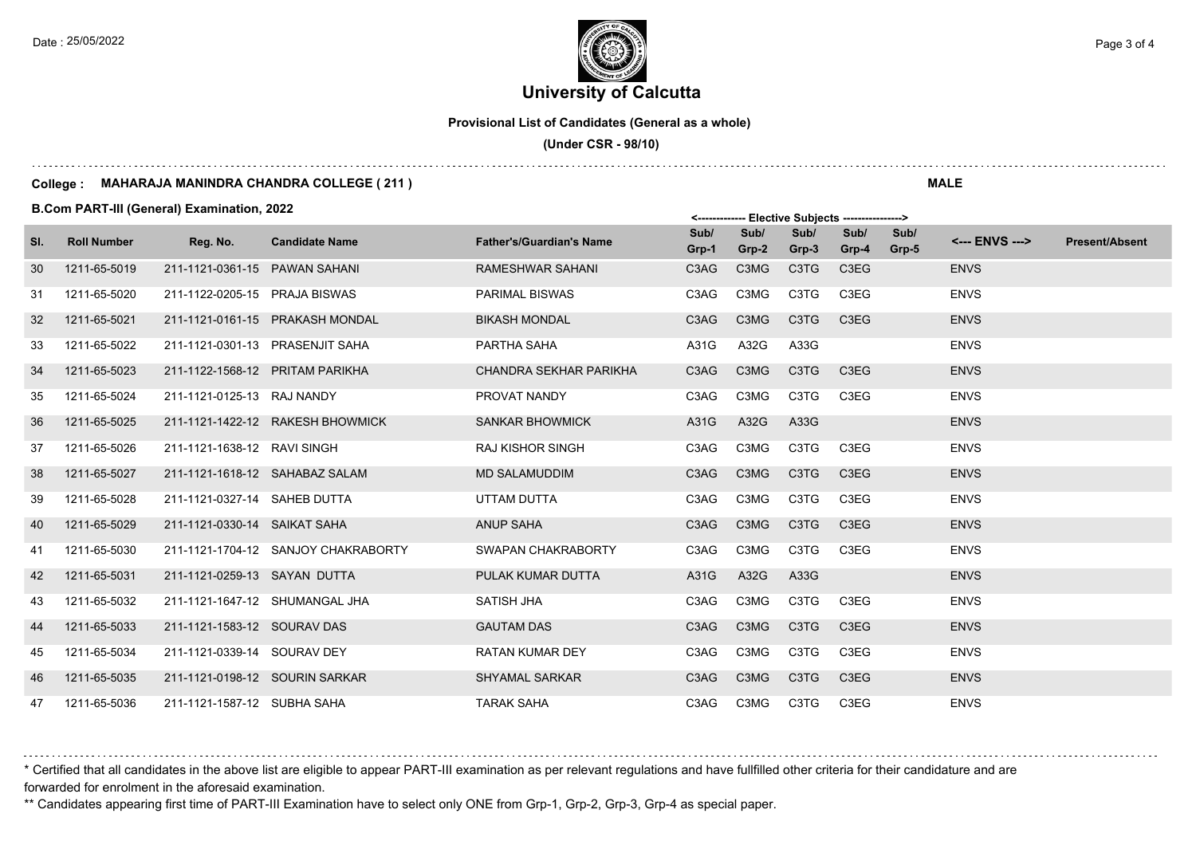## **University of Calcutta**  Date : 25/05/2022 **Page 3 of 4**  $\left[\frac{1}{2}, \frac{1}{2}\right]$

**Provisional List of Candidates (General as a whole)**

 **(Under CSR - 98/10)**

#### **College : MAHARAJA MANINDRA CHANDRA COLLEGE ( 211 )**

**B.Com PART-III (General) Examination, 2022**

|     |                    | <b>B.COM PART-IN (General) Examination, 2022</b> |                                     |                                 | <------------- Elective Subjects ----------------> |               |                               |                               |               |                |                       |
|-----|--------------------|--------------------------------------------------|-------------------------------------|---------------------------------|----------------------------------------------------|---------------|-------------------------------|-------------------------------|---------------|----------------|-----------------------|
| SI. | <b>Roll Number</b> | Reg. No.                                         | <b>Candidate Name</b>               | <b>Father's/Guardian's Name</b> | Sub/<br>Grp-1                                      | Sub/<br>Grp-2 | Sub/<br>Grp-3                 | Sub/<br>Grp-4                 | Sub/<br>Grp-5 | <--- ENVS ---> | <b>Present/Absent</b> |
| 30  | 1211-65-5019       | 211-1121-0361-15 PAWAN SAHANI                    |                                     | RAMESHWAR SAHANI                | C3AG                                               | C3MG          | C3TG                          | C <sub>3</sub> E <sub>G</sub> |               | <b>ENVS</b>    |                       |
| 31  | 1211-65-5020       | 211-1122-0205-15 PRAJA BISWAS                    |                                     | <b>PARIMAL BISWAS</b>           | C3AG                                               | C3MG          | C3TG                          | C3EG                          |               | <b>ENVS</b>    |                       |
| 32  | 1211-65-5021       |                                                  | 211-1121-0161-15 PRAKASH MONDAL     | <b>BIKASH MONDAL</b>            | C3AG                                               | C3MG          | C <sub>3</sub> T <sub>G</sub> | C <sub>3</sub> E <sub>G</sub> |               | <b>ENVS</b>    |                       |
| 33  | 1211-65-5022       |                                                  | 211-1121-0301-13 PRASENJIT SAHA     | PARTHA SAHA                     | A31G                                               | A32G          | A33G                          |                               |               | <b>ENVS</b>    |                       |
| 34  | 1211-65-5023       |                                                  | 211-1122-1568-12 PRITAM PARIKHA     | CHANDRA SEKHAR PARIKHA          | C <sub>3</sub> A <sub>G</sub>                      | C3MG          | C <sub>3</sub> T <sub>G</sub> | C <sub>3</sub> E <sub>G</sub> |               | <b>ENVS</b>    |                       |
| 35  | 1211-65-5024       | 211-1121-0125-13 RAJ NANDY                       |                                     | PROVAT NANDY                    | C3AG                                               | C3MG          | C3TG                          | C3EG                          |               | <b>ENVS</b>    |                       |
| 36  | 1211-65-5025       |                                                  | 211-1121-1422-12 RAKESH BHOWMICK    | <b>SANKAR BHOWMICK</b>          | A31G                                               | A32G          | A33G                          |                               |               | <b>ENVS</b>    |                       |
| 37  | 1211-65-5026       | 211-1121-1638-12 RAVI SINGH                      |                                     | <b>RAJ KISHOR SINGH</b>         | C3AG                                               | C3MG          | C3TG                          | C3EG                          |               | <b>ENVS</b>    |                       |
| 38  | 1211-65-5027       |                                                  | 211-1121-1618-12 SAHABAZ SALAM      | MD SALAMUDDIM                   | C3AG                                               | C3MG          | C <sub>3</sub> T <sub>G</sub> | C3EG                          |               | <b>ENVS</b>    |                       |
| 39  | 1211-65-5028       | 211-1121-0327-14 SAHEB DUTTA                     |                                     | UTTAM DUTTA                     | C3AG                                               | C3MG          | C3TG                          | C3EG                          |               | <b>ENVS</b>    |                       |
| 40  | 1211-65-5029       | 211-1121-0330-14 SAIKAT SAHA                     |                                     | <b>ANUP SAHA</b>                | C <sub>3</sub> A <sub>G</sub>                      | C3MG          | C <sub>3</sub> T <sub>G</sub> | C <sub>3</sub> E <sub>G</sub> |               | <b>ENVS</b>    |                       |
| 41  | 1211-65-5030       |                                                  | 211-1121-1704-12 SANJOY CHAKRABORTY | SWAPAN CHAKRABORTY              | C3AG                                               | C3MG          | C3TG                          | C3EG                          |               | <b>ENVS</b>    |                       |
| 42  | 1211-65-5031       | 211-1121-0259-13 SAYAN DUTTA                     |                                     | PULAK KUMAR DUTTA               | A31G                                               | A32G          | A33G                          |                               |               | <b>ENVS</b>    |                       |
| 43  | 1211-65-5032       |                                                  | 211-1121-1647-12 SHUMANGAL JHA      | <b>SATISH JHA</b>               | C3AG                                               | C3MG          | C3TG                          | C3EG                          |               | <b>ENVS</b>    |                       |
| 44  | 1211-65-5033       | 211-1121-1583-12 SOURAV DAS                      |                                     | <b>GAUTAM DAS</b>               | C <sub>3</sub> A <sub>G</sub>                      | C3MG          | C <sub>3</sub> T <sub>G</sub> | C <sub>3</sub> E <sub>G</sub> |               | <b>ENVS</b>    |                       |
| 45  | 1211-65-5034       | 211-1121-0339-14 SOURAV DEY                      |                                     | <b>RATAN KUMAR DEY</b>          | C3AG                                               | C3MG          | C3TG                          | C3EG                          |               | <b>ENVS</b>    |                       |
| 46  | 1211-65-5035       | 211-1121-0198-12 SOURIN SARKAR                   |                                     | <b>SHYAMAL SARKAR</b>           | C3AG                                               | C3MG          | C <sub>3</sub> T <sub>G</sub> | C <sub>3</sub> E <sub>G</sub> |               | <b>ENVS</b>    |                       |
| 47  | 1211-65-5036       | 211-1121-1587-12 SUBHA SAHA                      |                                     | <b>TARAK SAHA</b>               | C3AG                                               | C3MG          | C3TG                          | C3EG                          |               | <b>ENVS</b>    |                       |

\* Certified that all candidates in the above list are eligible to appear PART-III examination as per relevant regulations and have fullfilled other criteria for their candidature and are forwarded for enrolment in the aforesaid examination.

\*\* Candidates appearing first time of PART-III Examination have to select only ONE from Grp-1, Grp-2, Grp-3, Grp-4 as special paper.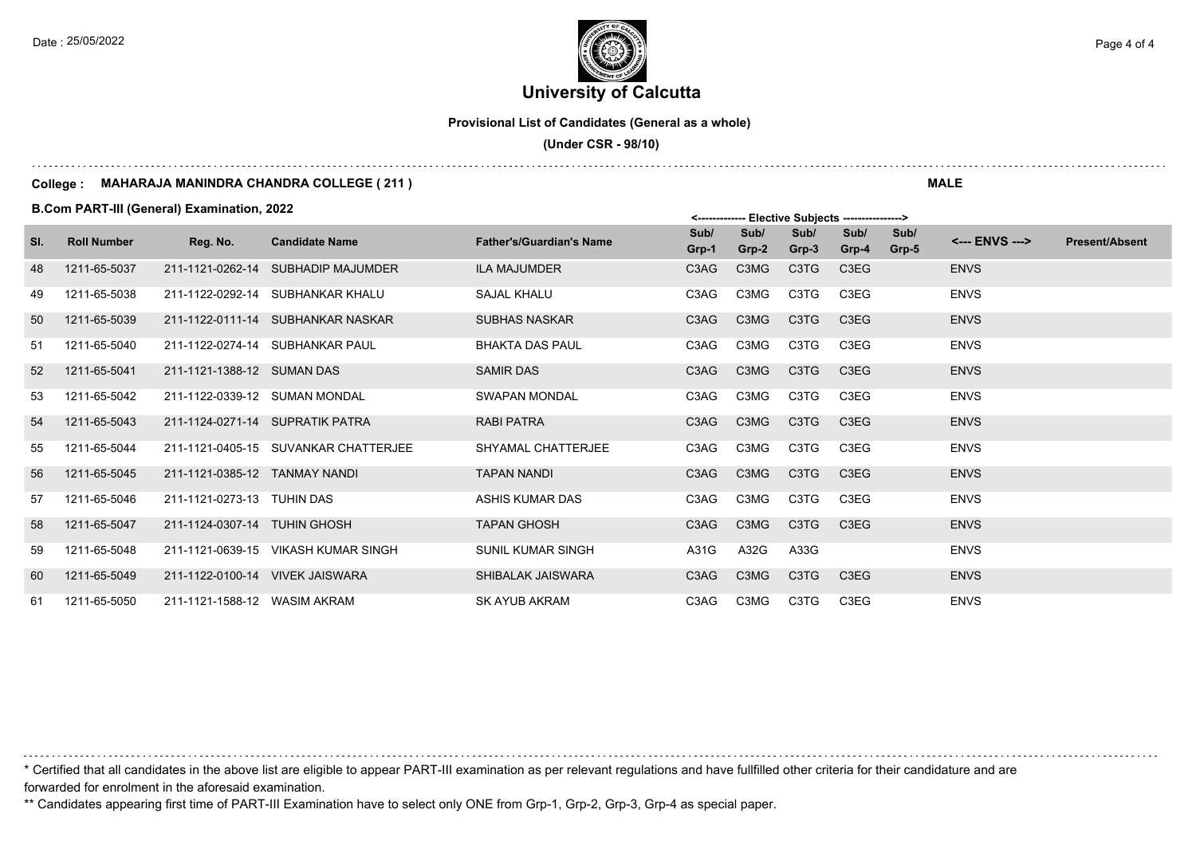**University of Calcutta**  Date : 25/05/2022 **Page 4 of 4**  $\left| \frac{1}{2} \right|$ 

**Provisional List of Candidates (General as a whole)**

 **(Under CSR - 98/10)**

#### **College : MAHARAJA MANINDRA CHANDRA COLLEGE ( 211 )**

**B.Com PART-III (General) Examination, 2022**

|     |                    |                               |                                      |                                 |               |               | <b>LIGATIVE OUDIGATS</b>      |                               |               |                |                       |
|-----|--------------------|-------------------------------|--------------------------------------|---------------------------------|---------------|---------------|-------------------------------|-------------------------------|---------------|----------------|-----------------------|
| SI. | <b>Roll Number</b> | Reg. No.                      | <b>Candidate Name</b>                | <b>Father's/Guardian's Name</b> | Sub/<br>Grp-1 | Sub/<br>Grp-2 | Sub/<br>Grp-3                 | Sub/<br>Grp-4                 | Sub/<br>Grp-5 | <--- ENVS ---> | <b>Present/Absent</b> |
| 48  | 1211-65-5037       |                               | 211-1121-0262-14 SUBHADIP MAJUMDER   | <b>ILA MAJUMDER</b>             | C3AG          | C3MG          | C3TG                          | C3EG                          |               | <b>ENVS</b>    |                       |
| 49  | 1211-65-5038       |                               | 211-1122-0292-14 SUBHANKAR KHALU     | SAJAL KHALU                     | C3AG          | C3MG          | C3TG                          | C3EG                          |               | <b>ENVS</b>    |                       |
| 50  | 1211-65-5039       |                               | 211-1122-0111-14 SUBHANKAR NASKAR    | <b>SUBHAS NASKAR</b>            | C3AG          | C3MG          | C <sub>3</sub> T <sub>G</sub> | C3EG                          |               | <b>ENVS</b>    |                       |
| 51  | 1211-65-5040       |                               | 211-1122-0274-14 SUBHANKAR PAUL      | <b>BHAKTA DAS PAUL</b>          | C3AG          | C3MG          | C3TG                          | C3EG                          |               | <b>ENVS</b>    |                       |
| 52  | 1211-65-5041       | 211-1121-1388-12 SUMAN DAS    |                                      | <b>SAMIR DAS</b>                | C3AG          | C3MG          | C3TG                          | C3EG                          |               | <b>ENVS</b>    |                       |
| 53  | 1211-65-5042       | 211-1122-0339-12 SUMAN MONDAL |                                      | SWAPAN MONDAL                   | C3AG          | C3MG          | C3TG                          | C3EG                          |               | <b>ENVS</b>    |                       |
| 54  | 1211-65-5043       |                               | 211-1124-0271-14 SUPRATIK PATRA      | <b>RABI PATRA</b>               | C3AG          | C3MG          | C <sub>3</sub> T <sub>G</sub> | C <sub>3</sub> E <sub>G</sub> |               | <b>ENVS</b>    |                       |
| 55  | 1211-65-5044       |                               | 211-1121-0405-15 SUVANKAR CHATTERJEE | SHYAMAL CHATTERJEE              | C3AG          | C3MG          | C3TG                          | C3EG                          |               | <b>ENVS</b>    |                       |
| 56  | 1211-65-5045       | 211-1121-0385-12 TANMAY NANDI |                                      | <b>TAPAN NANDI</b>              | C3AG          | C3MG          | C <sub>3</sub> T <sub>G</sub> | C3EG                          |               | <b>ENVS</b>    |                       |
| 57  | 1211-65-5046       | 211-1121-0273-13 TUHIN DAS    |                                      | ASHIS KUMAR DAS                 | C3AG          | C3MG          | C3TG                          | C3EG                          |               | <b>ENVS</b>    |                       |
| 58  | 1211-65-5047       | 211-1124-0307-14 TUHIN GHOSH  |                                      | <b>TAPAN GHOSH</b>              | C3AG          | C3MG          | C <sub>3</sub> T <sub>G</sub> | C3EG                          |               | <b>ENVS</b>    |                       |
| 59  | 1211-65-5048       |                               | 211-1121-0639-15 VIKASH KUMAR SINGH  | <b>SUNIL KUMAR SINGH</b>        | A31G          | A32G          | A33G                          |                               |               | <b>ENVS</b>    |                       |
| 60  | 1211-65-5049       |                               | 211-1122-0100-14 VIVEK JAISWARA      | SHIBALAK JAISWARA               | C3AG          | C3MG          | C3TG                          | C3EG                          |               | <b>ENVS</b>    |                       |
| 61  | 1211-65-5050       | 211-1121-1588-12 WASIM AKRAM  |                                      | <b>SK AYUB AKRAM</b>            | C3AG          | C3MG          | C3TG                          | C3EG                          |               | <b>ENVS</b>    |                       |

\* Certified that all candidates in the above list are eligible to appear PART-III examination as per relevant regulations and have fullfilled other criteria for their candidature and are forwarded for enrolment in the aforesaid examination.

\*\* Candidates appearing first time of PART-III Examination have to select only ONE from Grp-1, Grp-2, Grp-3, Grp-4 as special paper.

**MALE**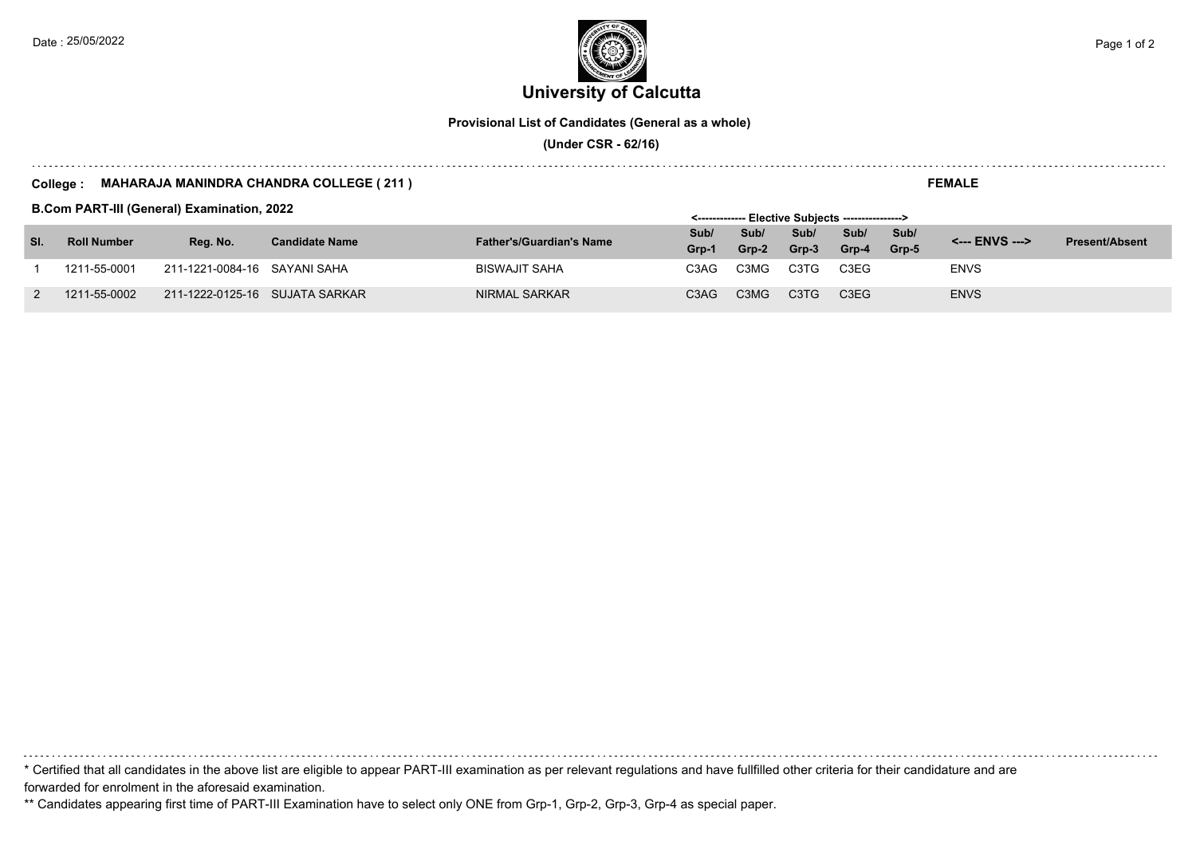**University of Calcutta**  Date : 25/05/2022 **Page 1 of 2**  $\epsilon$  Page 1 of 2

**Provisional List of Candidates (General as a whole)**

 **(Under CSR - 62/16)**

#### **College : MAHARAJA MANINDRA CHANDRA COLLEGE ( 211 )**

**B.Com PART-III (General) Examination, 2022**

|     |                    | <b>B.COM PART-IN (General) Examination, 2022</b> |                       |                                 | <------------- Elective Subiects ---------------> |         |                               |                               |       |                |                       |
|-----|--------------------|--------------------------------------------------|-----------------------|---------------------------------|---------------------------------------------------|---------|-------------------------------|-------------------------------|-------|----------------|-----------------------|
|     | <b>Roll Number</b> | Rea. No.                                         | <b>Candidate Name</b> | <b>Father's/Guardian's Name</b> | Sub/                                              | Sub/    | Sub/                          | Sub/                          | Sub/  | <--- ENVS ---> | <b>Present/Absent</b> |
| SI. |                    |                                                  |                       |                                 | Grp-1                                             | $Grp-2$ | Grp-3                         | Grp-4                         | Grp-5 |                |                       |
|     | 1211-55-0001       | 211-1221-0084-16 SAYANI SAHA                     |                       | <b>BISWAJIT SAHA</b>            | C3AG                                              | C3MG    | C <sub>3</sub> T <sub>G</sub> | C3EG                          |       | <b>ENVS</b>    |                       |
|     | 1211-55-0002       | 211-1222-0125-16 SUJATA SARKAR                   |                       | NIRMAL SARKAR                   | C3AG                                              | C3MG    | C <sub>3</sub> T <sub>G</sub> | C <sub>3</sub> E <sub>G</sub> |       | <b>ENVS</b>    |                       |

\* Certified that all candidates in the above list are eligible to appear PART-III examination as per relevant regulations and have fullfilled other criteria for their candidature and are forwarded for enrolment in the aforesaid examination.

\*\* Candidates appearing first time of PART-III Examination have to select only ONE from Grp-1, Grp-2, Grp-3, Grp-4 as special paper.

**FEMALE**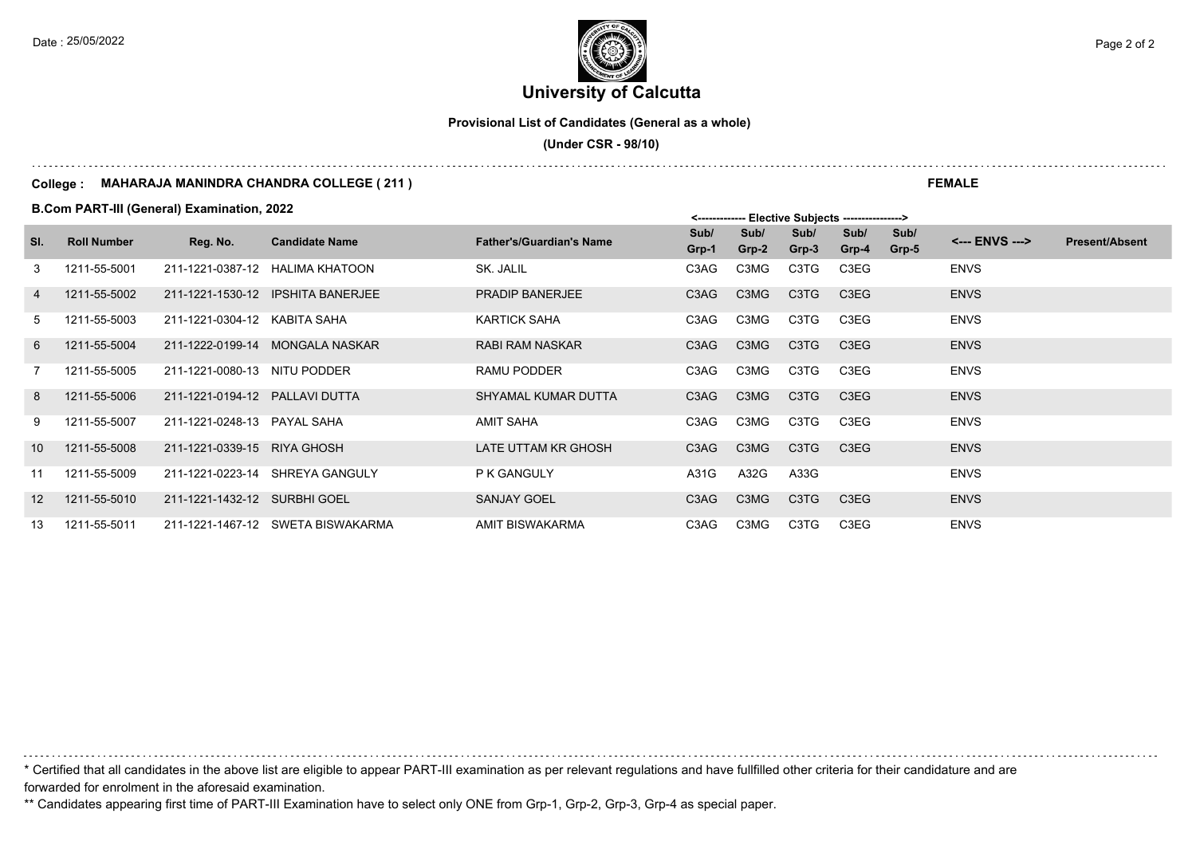**University of Calcutta**  Date : 25/05/2022 **Page 2 of 2**  $\left($   $\frac{1}{2}$   $\left($   $\frac{1}{2}$   $\frac{1}{2}$   $\right)$   $\left($   $\frac{1}{2}$   $\frac{1}{2}$   $\frac{1}{2}$   $\frac{1}{2}$   $\frac{1}{2}$   $\frac{1}{2}$   $\frac{1}{2}$   $\frac{1}{2}$   $\frac{1}{2}$   $\frac{1}{2}$   $\frac{1}{2}$   $\frac{1}{2}$   $\frac{1}{2}$   $\frac{1$ 

**Provisional List of Candidates (General as a whole)**

 **(Under CSR - 98/10)**

#### **College : MAHARAJA MANINDRA CHANDRA COLLEGE ( 211 )**

**B.Com PART-III (General) Examination, 2022**

|                | <b>B.COM PART-IN (General) Examination, 2022</b> |                                |                                   |                                 |               | <-------------- Elective Subjects ----------------> |                               |                 |               |                |                       |
|----------------|--------------------------------------------------|--------------------------------|-----------------------------------|---------------------------------|---------------|-----------------------------------------------------|-------------------------------|-----------------|---------------|----------------|-----------------------|
| SI.            | <b>Roll Number</b>                               | Reg. No.                       | <b>Candidate Name</b>             | <b>Father's/Guardian's Name</b> | Sub/<br>Grp-1 | Sub/<br>Grp-2                                       | Sub/<br>Grp-3                 | Sub/<br>$Grp-4$ | Sub/<br>Grp-5 | <--- ENVS ---> | <b>Present/Absent</b> |
| 3              | 1211-55-5001                                     |                                | 211-1221-0387-12 HALIMA KHATOON   | SK. JALIL                       | C3AG          | C3MG                                                | C3TG                          | C3EG            |               | <b>ENVS</b>    |                       |
| 4              | 1211-55-5002                                     |                                | 211-1221-1530-12 IPSHITA BANERJEE | <b>PRADIP BANERJEE</b>          | C3AG          | C3MG                                                | C <sub>3</sub> T <sub>G</sub> | C3EG            |               | <b>ENVS</b>    |                       |
| 5              | 1211-55-5003                                     | 211-1221-0304-12 KABITA SAHA   |                                   | <b>KARTICK SAHA</b>             | C3AG          | C3MG                                                | C3TG                          | C3EG            |               | <b>ENVS</b>    |                       |
| 6              | 1211-55-5004                                     |                                | 211-1222-0199-14 MONGALA NASKAR   | RABI RAM NASKAR                 | C3AG          | C3MG                                                | C3TG                          | C3EG            |               | <b>ENVS</b>    |                       |
| $\overline{7}$ | 1211-55-5005                                     | 211-1221-0080-13 NITU PODDER   |                                   | RAMU PODDER                     | C3AG          | C3MG                                                | C3TG                          | C3EG            |               | <b>ENVS</b>    |                       |
| 8              | 1211-55-5006                                     | 211-1221-0194-12 PALLAVI DUTTA |                                   | SHYAMAL KUMAR DUTTA             | C3AG          | C3MG                                                | C3TG                          | C3EG            |               | <b>ENVS</b>    |                       |
| 9              | 1211-55-5007                                     | 211-1221-0248-13 PAYAL SAHA    |                                   | <b>AMIT SAHA</b>                | C3AG          | C3MG                                                | C3TG                          | C3EG            |               | <b>ENVS</b>    |                       |
| 10             | 1211-55-5008                                     | 211-1221-0339-15 RIYA GHOSH    |                                   | LATE UTTAM KR GHOSH             | C3AG          | C3MG                                                | C <sub>3</sub> T <sub>G</sub> | C3EG            |               | <b>ENVS</b>    |                       |
| 11             | 1211-55-5009                                     |                                | 211-1221-0223-14 SHREYA GANGULY   | P K GANGULY                     | A31G          | A32G                                                | A33G                          |                 |               | <b>ENVS</b>    |                       |
| 12             | 1211-55-5010                                     | 211-1221-1432-12 SURBHI GOEL   |                                   | <b>SANJAY GOEL</b>              | C3AG          | C3MG                                                | C3TG                          | C3EG            |               | <b>ENVS</b>    |                       |
| 13             | 1211-55-5011                                     |                                | 211-1221-1467-12 SWETA BISWAKARMA | AMIT BISWAKARMA                 | C3AG          | C3MG                                                | C3TG                          | C3EG            |               | <b>ENVS</b>    |                       |

\* Certified that all candidates in the above list are eligible to appear PART-III examination as per relevant regulations and have fullfilled other criteria for their candidature and are forwarded for enrolment in the aforesaid examination.

\*\* Candidates appearing first time of PART-III Examination have to select only ONE from Grp-1, Grp-2, Grp-3, Grp-4 as special paper.

**FEMALE**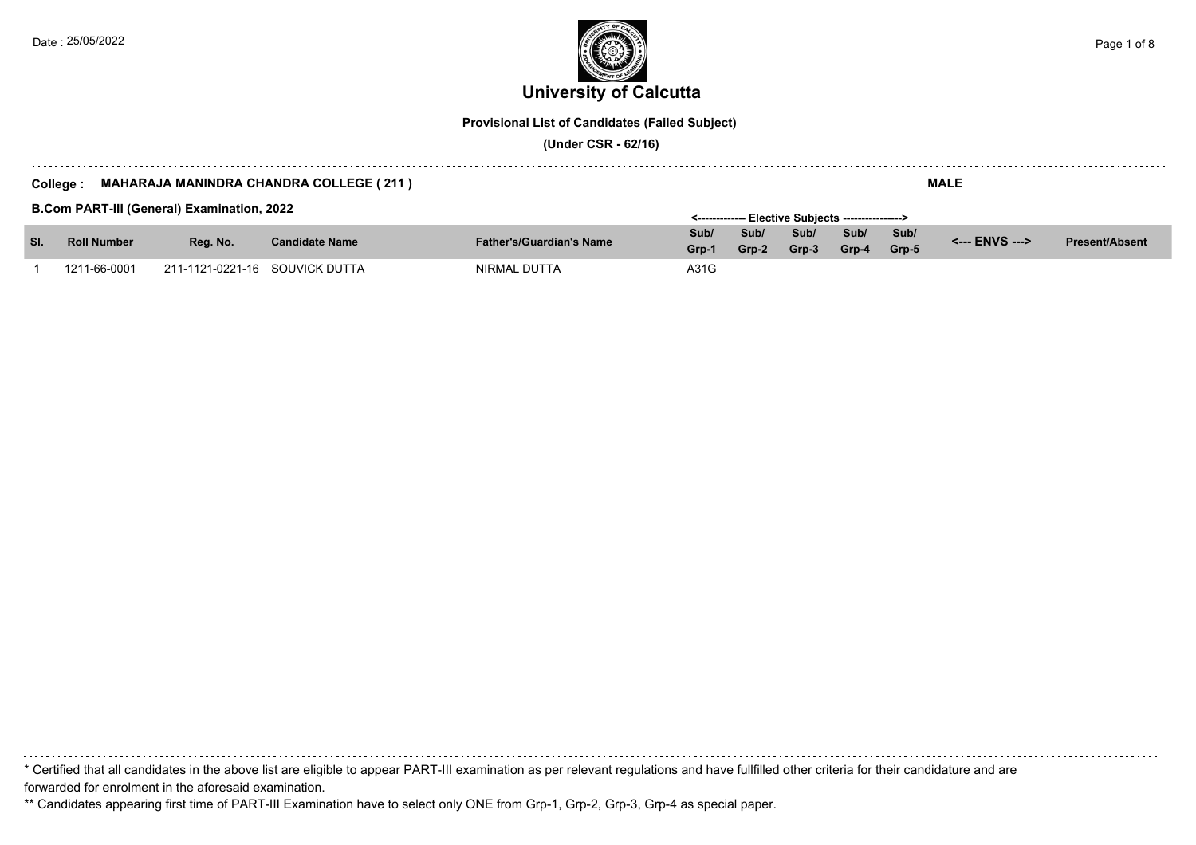

**Provisional List of Candidates (Failed Subject)**

 **(Under CSR - 62/16)**

#### **College : MAHARAJA MANINDRA CHANDRA COLLEGE ( 211 )**

**B.Com PART-III (General) Examination, 2022**

|     | <b>B.COM PART-III (General) Examination, 2022</b> |                                |                       |                                 |       | <------------- Elective Subjects ----------------> |       |       |       |                |                       |  |
|-----|---------------------------------------------------|--------------------------------|-----------------------|---------------------------------|-------|----------------------------------------------------|-------|-------|-------|----------------|-----------------------|--|
| SI. | <b>Roll Number</b>                                | Rea. No.                       | <b>Candidate Name</b> | <b>Father's/Guardian's Name</b> | Sub/  | Sub/                                               | Sub/  | Sub/  | Sub/  | <--- ENVS ---> | <b>Present/Absent</b> |  |
|     |                                                   |                                |                       |                                 | Grp-1 | Grp-2                                              | Grp-3 | Grp-4 | Grp-5 |                |                       |  |
|     | 1211-66-0001                                      | 211-1121-0221-16 SOUVICK DUTTA |                       | NIRMAL DUTTA                    | A31G  |                                                    |       |       |       |                |                       |  |

\* Certified that all candidates in the above list are eligible to appear PART-III examination as per relevant regulations and have fullfilled other criteria for their candidature and are forwarded for enrolment in the aforesaid examination.

\*\* Candidates appearing first time of PART-III Examination have to select only ONE from Grp-1, Grp-2, Grp-3, Grp-4 as special paper.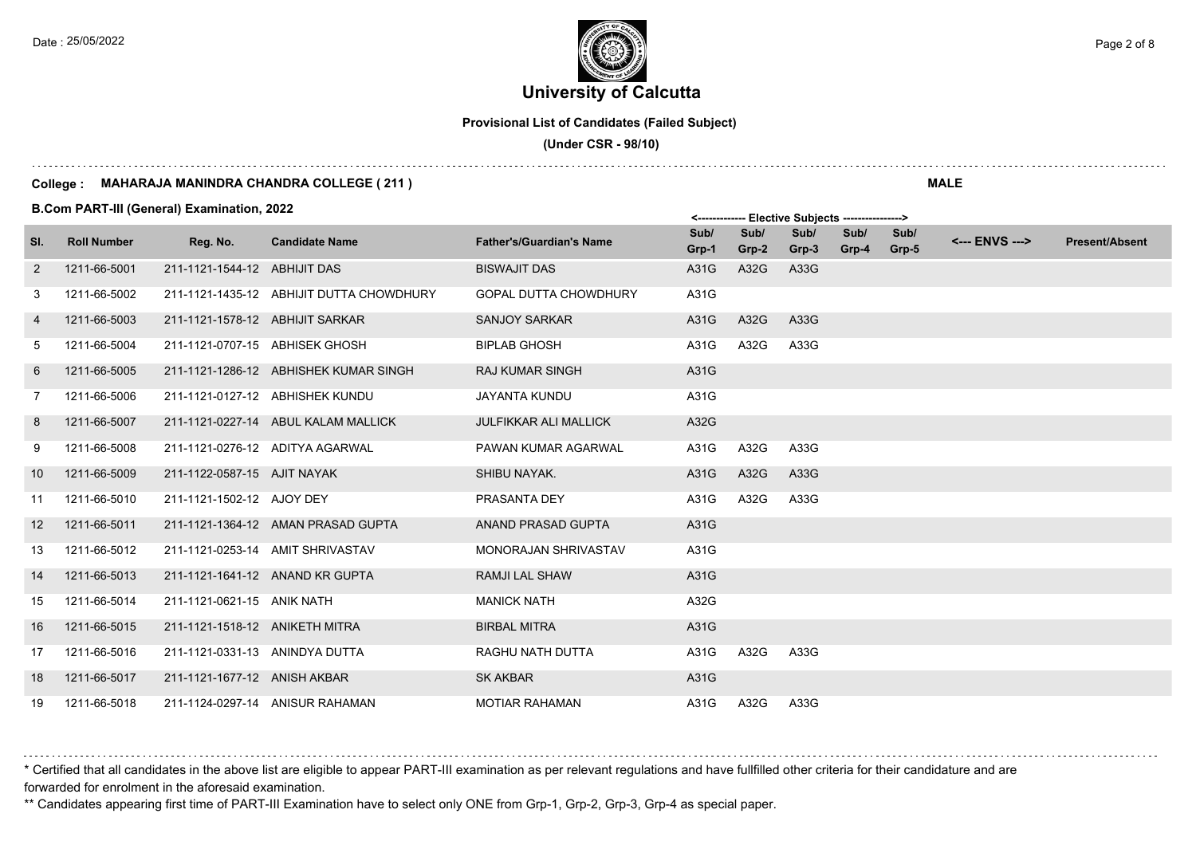# **University of Calcutta**  Date : 25/05/2022 **Page 2 of 8**  $\epsilon$  Page 2 of 8

**Provisional List of Candidates (Failed Subject)**

 **(Under CSR - 98/10)**

#### **College : MAHARAJA MANINDRA CHANDRA COLLEGE ( 211 )**

**B.Com PART-III (General) Examination, 2022**

|                |                    | <b>B.COM PART-III (General) Examination, 2022</b> |                                          | <------------- Elective Subjects ----------------> |               |               |               |               |               |                |                       |
|----------------|--------------------|---------------------------------------------------|------------------------------------------|----------------------------------------------------|---------------|---------------|---------------|---------------|---------------|----------------|-----------------------|
| SI.            | <b>Roll Number</b> | Reg. No.                                          | <b>Candidate Name</b>                    | <b>Father's/Guardian's Name</b>                    | Sub/<br>Grp-1 | Sub/<br>Grp-2 | Sub/<br>Grp-3 | Sub/<br>Grp-4 | Sub/<br>Grp-5 | <--- ENVS ---> | <b>Present/Absent</b> |
| $\overline{2}$ | 1211-66-5001       | 211-1121-1544-12 ABHIJIT DAS                      |                                          | <b>BISWAJIT DAS</b>                                | A31G          | A32G          | A33G          |               |               |                |                       |
| 3              | 1211-66-5002       |                                                   | 211-1121-1435-12 ABHIJIT DUTTA CHOWDHURY | <b>GOPAL DUTTA CHOWDHURY</b>                       | A31G          |               |               |               |               |                |                       |
| $\overline{4}$ | 1211-66-5003       | 211-1121-1578-12 ABHIJIT SARKAR                   |                                          | <b>SANJOY SARKAR</b>                               | A31G          | A32G          | A33G          |               |               |                |                       |
| 5              | 1211-66-5004       |                                                   | 211-1121-0707-15 ABHISEK GHOSH           | <b>BIPLAB GHOSH</b>                                | A31G          | A32G          | A33G          |               |               |                |                       |
| 6              | 1211-66-5005       |                                                   | 211-1121-1286-12 ABHISHEK KUMAR SINGH    | <b>RAJ KUMAR SINGH</b>                             | A31G          |               |               |               |               |                |                       |
| 7              | 1211-66-5006       |                                                   | 211-1121-0127-12 ABHISHEK KUNDU          | <b>JAYANTA KUNDU</b>                               | A31G          |               |               |               |               |                |                       |
| 8              | 1211-66-5007       |                                                   | 211-1121-0227-14 ABUL KALAM MALLICK      | <b>JULFIKKAR ALI MALLICK</b>                       | A32G          |               |               |               |               |                |                       |
| 9              | 1211-66-5008       |                                                   | 211-1121-0276-12 ADITYA AGARWAL          | PAWAN KUMAR AGARWAL                                | A31G          | A32G          | A33G          |               |               |                |                       |
| 10             | 1211-66-5009       | 211-1122-0587-15 AJIT NAYAK                       |                                          | SHIBU NAYAK.                                       | A31G          | A32G          | A33G          |               |               |                |                       |
| 11             | 1211-66-5010       | 211-1121-1502-12 AJOY DEY                         |                                          | PRASANTA DEY                                       | A31G          | A32G          | A33G          |               |               |                |                       |
| 12             | 1211-66-5011       |                                                   | 211-1121-1364-12 AMAN PRASAD GUPTA       | ANAND PRASAD GUPTA                                 | A31G          |               |               |               |               |                |                       |
| 13             | 1211-66-5012       |                                                   | 211-1121-0253-14 AMIT SHRIVASTAV         | MONORAJAN SHRIVASTAV                               | A31G          |               |               |               |               |                |                       |
| 14             | 1211-66-5013       |                                                   | 211-1121-1641-12 ANAND KR GUPTA          | <b>RAMJI LAL SHAW</b>                              | A31G          |               |               |               |               |                |                       |
| 15             | 1211-66-5014       | 211-1121-0621-15 ANIK NATH                        |                                          | <b>MANICK NATH</b>                                 | A32G          |               |               |               |               |                |                       |
| 16             | 1211-66-5015       | 211-1121-1518-12 ANIKETH MITRA                    |                                          | <b>BIRBAL MITRA</b>                                | A31G          |               |               |               |               |                |                       |
| 17             | 1211-66-5016       | 211-1121-0331-13 ANINDYA DUTTA                    |                                          | RAGHU NATH DUTTA                                   | A31G          | A32G          | A33G          |               |               |                |                       |
| 18             | 1211-66-5017       | 211-1121-1677-12 ANISH AKBAR                      |                                          | <b>SK AKBAR</b>                                    | A31G          |               |               |               |               |                |                       |
| 19             | 1211-66-5018       |                                                   | 211-1124-0297-14 ANISUR RAHAMAN          | <b>MOTIAR RAHAMAN</b>                              | A31G          | A32G          | A33G          |               |               |                |                       |

\* Certified that all candidates in the above list are eligible to appear PART-III examination as per relevant regulations and have fullfilled other criteria for their candidature and are forwarded for enrolment in the aforesaid examination.

\*\* Candidates appearing first time of PART-III Examination have to select only ONE from Grp-1, Grp-2, Grp-3, Grp-4 as special paper.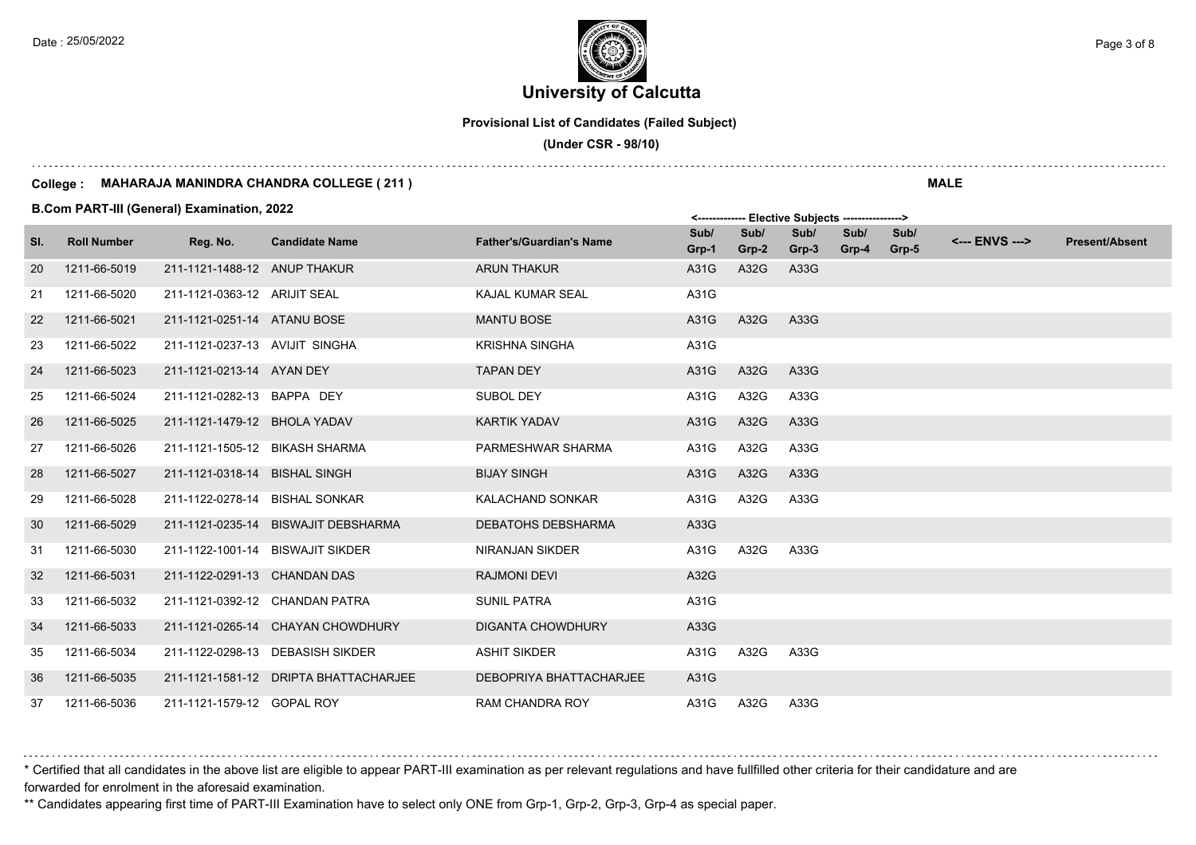## **University of Calcutta**  Date : 25/05/2022 **Page 3 of 8**  $\epsilon$  Page 3 of 8

**Provisional List of Candidates (Failed Subject)**

 **(Under CSR - 98/10)**

#### **College : MAHARAJA MANINDRA CHANDRA COLLEGE ( 211 )**

**B.Com PART-III (General) Examination, 2022**

|     |                    |                                |                                       |                                 |               |               | <b>LIGALITE AUNICATO</b> |               |               |                |                       |
|-----|--------------------|--------------------------------|---------------------------------------|---------------------------------|---------------|---------------|--------------------------|---------------|---------------|----------------|-----------------------|
| SI. | <b>Roll Number</b> | Reg. No.                       | <b>Candidate Name</b>                 | <b>Father's/Guardian's Name</b> | Sub/<br>Grp-1 | Sub/<br>Grp-2 | Sub/<br>Grp-3            | Sub/<br>Grp-4 | Sub/<br>Grp-5 | <--- ENVS ---> | <b>Present/Absent</b> |
| 20  | 1211-66-5019       | 211-1121-1488-12 ANUP THAKUR   |                                       | <b>ARUN THAKUR</b>              | A31G          | A32G          | A33G                     |               |               |                |                       |
| 21  | 1211-66-5020       | 211-1121-0363-12 ARIJIT SEAL   |                                       | KAJAL KUMAR SEAL                | A31G          |               |                          |               |               |                |                       |
| 22  | 1211-66-5021       | 211-1121-0251-14 ATANU BOSE    |                                       | <b>MANTU BOSE</b>               | A31G          | A32G          | A33G                     |               |               |                |                       |
| 23  | 1211-66-5022       | 211-1121-0237-13 AVIJIT SINGHA |                                       | <b>KRISHNA SINGHA</b>           | A31G          |               |                          |               |               |                |                       |
| 24  | 1211-66-5023       | 211-1121-0213-14 AYAN DEY      |                                       | <b>TAPAN DEY</b>                | A31G          | A32G          | A33G                     |               |               |                |                       |
| 25  | 1211-66-5024       | 211-1121-0282-13 BAPPA DEY     |                                       | <b>SUBOL DEY</b>                | A31G          | A32G          | A33G                     |               |               |                |                       |
| 26  | 1211-66-5025       | 211-1121-1479-12 BHOLA YADAV   |                                       | <b>KARTIK YADAV</b>             | A31G          | A32G          | A33G                     |               |               |                |                       |
| 27  | 1211-66-5026       | 211-1121-1505-12 BIKASH SHARMA |                                       | PARMESHWAR SHARMA               | A31G          | A32G          | A33G                     |               |               |                |                       |
| 28  | 1211-66-5027       | 211-1121-0318-14 BISHAL SINGH  |                                       | <b>BIJAY SINGH</b>              | A31G          | A32G          | A33G                     |               |               |                |                       |
| 29  | 1211-66-5028       | 211-1122-0278-14 BISHAL SONKAR |                                       | <b>KALACHAND SONKAR</b>         | A31G          | A32G          | A33G                     |               |               |                |                       |
| 30  | 1211-66-5029       |                                | 211-1121-0235-14 BISWAJIT DEBSHARMA   | <b>DEBATOHS DEBSHARMA</b>       | A33G          |               |                          |               |               |                |                       |
| 31  | 1211-66-5030       |                                | 211-1122-1001-14 BISWAJIT SIKDER      | <b>NIRANJAN SIKDER</b>          | A31G          | A32G          | A33G                     |               |               |                |                       |
| 32  | 1211-66-5031       | 211-1122-0291-13 CHANDAN DAS   |                                       | <b>RAJMONI DEVI</b>             | A32G          |               |                          |               |               |                |                       |
| 33  | 1211-66-5032       | 211-1121-0392-12 CHANDAN PATRA |                                       | <b>SUNIL PATRA</b>              | A31G          |               |                          |               |               |                |                       |
| 34  | 1211-66-5033       |                                | 211-1121-0265-14 CHAYAN CHOWDHURY     | <b>DIGANTA CHOWDHURY</b>        | A33G          |               |                          |               |               |                |                       |
| 35  | 1211-66-5034       |                                | 211-1122-0298-13 DEBASISH SIKDER      | <b>ASHIT SIKDER</b>             | A31G          | A32G          | A33G                     |               |               |                |                       |
| 36  | 1211-66-5035       |                                | 211-1121-1581-12 DRIPTA BHATTACHARJEE | DEBOPRIYA BHATTACHARJEE         | A31G          |               |                          |               |               |                |                       |
| 37  | 1211-66-5036       | 211-1121-1579-12 GOPAL ROY     |                                       | <b>RAM CHANDRA ROY</b>          | A31G          | A32G          | A33G                     |               |               |                |                       |

\* Certified that all candidates in the above list are eligible to appear PART-III examination as per relevant regulations and have fullfilled other criteria for their candidature and are forwarded for enrolment in the aforesaid examination.

\*\* Candidates appearing first time of PART-III Examination have to select only ONE from Grp-1, Grp-2, Grp-3, Grp-4 as special paper.

**MALE**

 $\mathsf{E}$ lective Subjects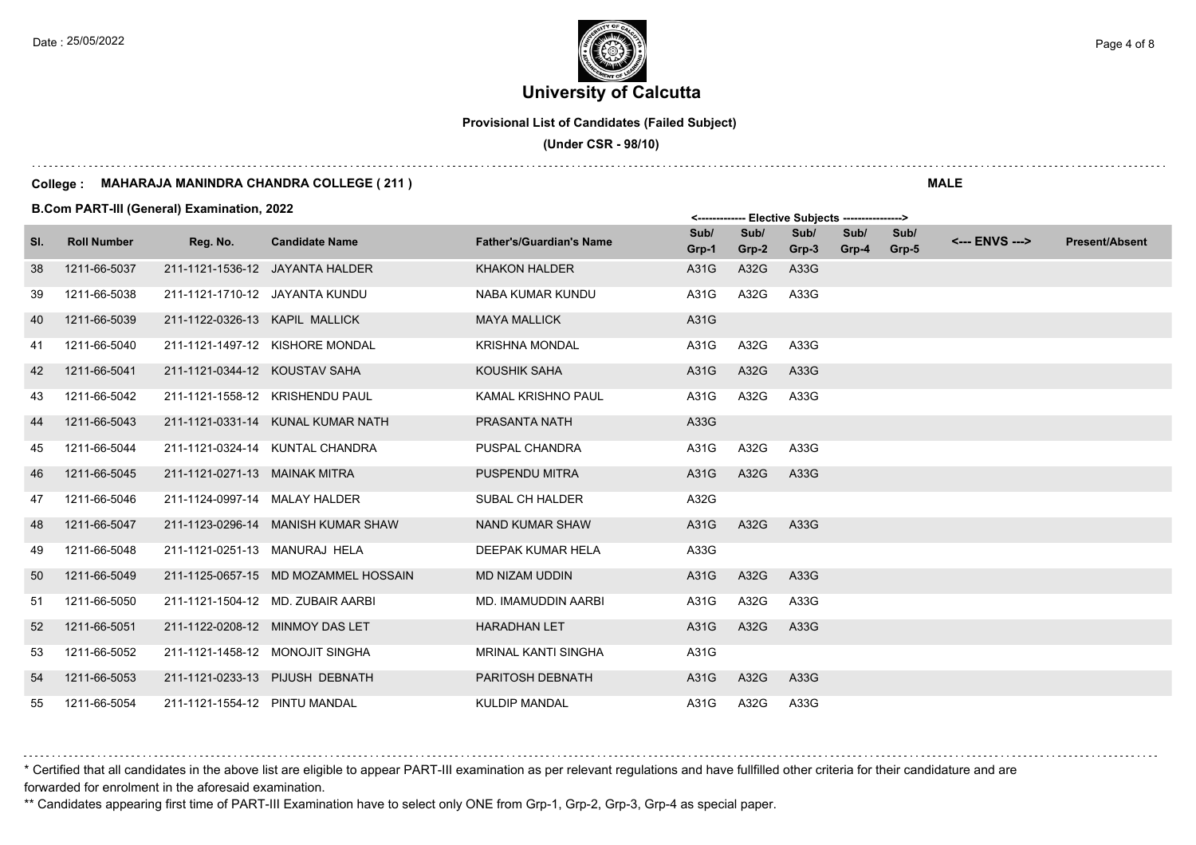# **University of Calcutta**  Date : 25/05/2022 **Page 4 of 8**  $\epsilon$  Page 4 of 8

**Provisional List of Candidates (Failed Subject)**

 **(Under CSR - 98/10)**

#### **College : MAHARAJA MANINDRA CHANDRA COLLEGE ( 211 )**

**B.Com PART-III (General) Examination, 2022**

|     |                    |                                |                                      |                                 |               |               | ---------     |               |               |                |                       |
|-----|--------------------|--------------------------------|--------------------------------------|---------------------------------|---------------|---------------|---------------|---------------|---------------|----------------|-----------------------|
| SI. | <b>Roll Number</b> | Reg. No.                       | <b>Candidate Name</b>                | <b>Father's/Guardian's Name</b> | Sub/<br>Grp-1 | Sub/<br>Grp-2 | Sub/<br>Grp-3 | Sub/<br>Grp-4 | Sub/<br>Grp-5 | <--- ENVS ---> | <b>Present/Absent</b> |
| 38  | 1211-66-5037       |                                | 211-1121-1536-12 JAYANTA HALDER      | <b>KHAKON HALDER</b>            | A31G          | A32G          | A33G          |               |               |                |                       |
| 39  | 1211-66-5038       | 211-1121-1710-12 JAYANTA KUNDU |                                      | NABA KUMAR KUNDU                | A31G          | A32G          | A33G          |               |               |                |                       |
| 40  | 1211-66-5039       | 211-1122-0326-13 KAPIL MALLICK |                                      | <b>MAYA MALLICK</b>             | A31G          |               |               |               |               |                |                       |
| 41  | 1211-66-5040       |                                | 211-1121-1497-12 KISHORE MONDAL      | <b>KRISHNA MONDAL</b>           | A31G          | A32G          | A33G          |               |               |                |                       |
| 42  | 1211-66-5041       | 211-1121-0344-12 KOUSTAV SAHA  |                                      | KOUSHIK SAHA                    | A31G          | A32G          | A33G          |               |               |                |                       |
| 43  | 1211-66-5042       |                                | 211-1121-1558-12 KRISHENDU PAUL      | <b>KAMAL KRISHNO PAUL</b>       | A31G          | A32G          | A33G          |               |               |                |                       |
| 44  | 1211-66-5043       |                                | 211-1121-0331-14 KUNAL KUMAR NATH    | <b>PRASANTA NATH</b>            | A33G          |               |               |               |               |                |                       |
| 45  | 1211-66-5044       |                                | 211-1121-0324-14 KUNTAL CHANDRA      | PUSPAL CHANDRA                  | A31G          | A32G          | A33G          |               |               |                |                       |
| 46  | 1211-66-5045       | 211-1121-0271-13 MAINAK MITRA  |                                      | PUSPENDU MITRA                  | A31G          | A32G          | A33G          |               |               |                |                       |
| 47  | 1211-66-5046       | 211-1124-0997-14 MALAY HALDER  |                                      | <b>SUBAL CH HALDER</b>          | A32G          |               |               |               |               |                |                       |
| 48  | 1211-66-5047       |                                | 211-1123-0296-14 MANISH KUMAR SHAW   | <b>NAND KUMAR SHAW</b>          | A31G          | A32G          | A33G          |               |               |                |                       |
| 49  | 1211-66-5048       | 211-1121-0251-13 MANURAJ HELA  |                                      | DEEPAK KUMAR HELA               | A33G          |               |               |               |               |                |                       |
| 50  | 1211-66-5049       |                                | 211-1125-0657-15 MD MOZAMMEL HOSSAIN | MD NIZAM UDDIN                  | A31G          | A32G          | A33G          |               |               |                |                       |
| 51  | 1211-66-5050       |                                | 211-1121-1504-12 MD. ZUBAIR AARBI    | <b>MD. IMAMUDDIN AARBI</b>      | A31G          | A32G          | A33G          |               |               |                |                       |
| 52  | 1211-66-5051       |                                | 211-1122-0208-12 MINMOY DAS LET      | <b>HARADHAN LET</b>             | A31G          | A32G          | A33G          |               |               |                |                       |
| 53  | 1211-66-5052       |                                | 211-1121-1458-12 MONOJIT SINGHA      | <b>MRINAL KANTI SINGHA</b>      | A31G          |               |               |               |               |                |                       |
| 54  | 1211-66-5053       |                                | 211-1121-0233-13 PIJUSH DEBNATH      | <b>PARITOSH DEBNATH</b>         | A31G          | A32G          | A33G          |               |               |                |                       |
| 55  | 1211-66-5054       | 211-1121-1554-12 PINTU MANDAL  |                                      | <b>KULDIP MANDAL</b>            | A31G          | A32G          | A33G          |               |               |                |                       |

\* Certified that all candidates in the above list are eligible to appear PART-III examination as per relevant regulations and have fullfilled other criteria for their candidature and are forwarded for enrolment in the aforesaid examination.

\*\* Candidates appearing first time of PART-III Examination have to select only ONE from Grp-1, Grp-2, Grp-3, Grp-4 as special paper.

**MALE**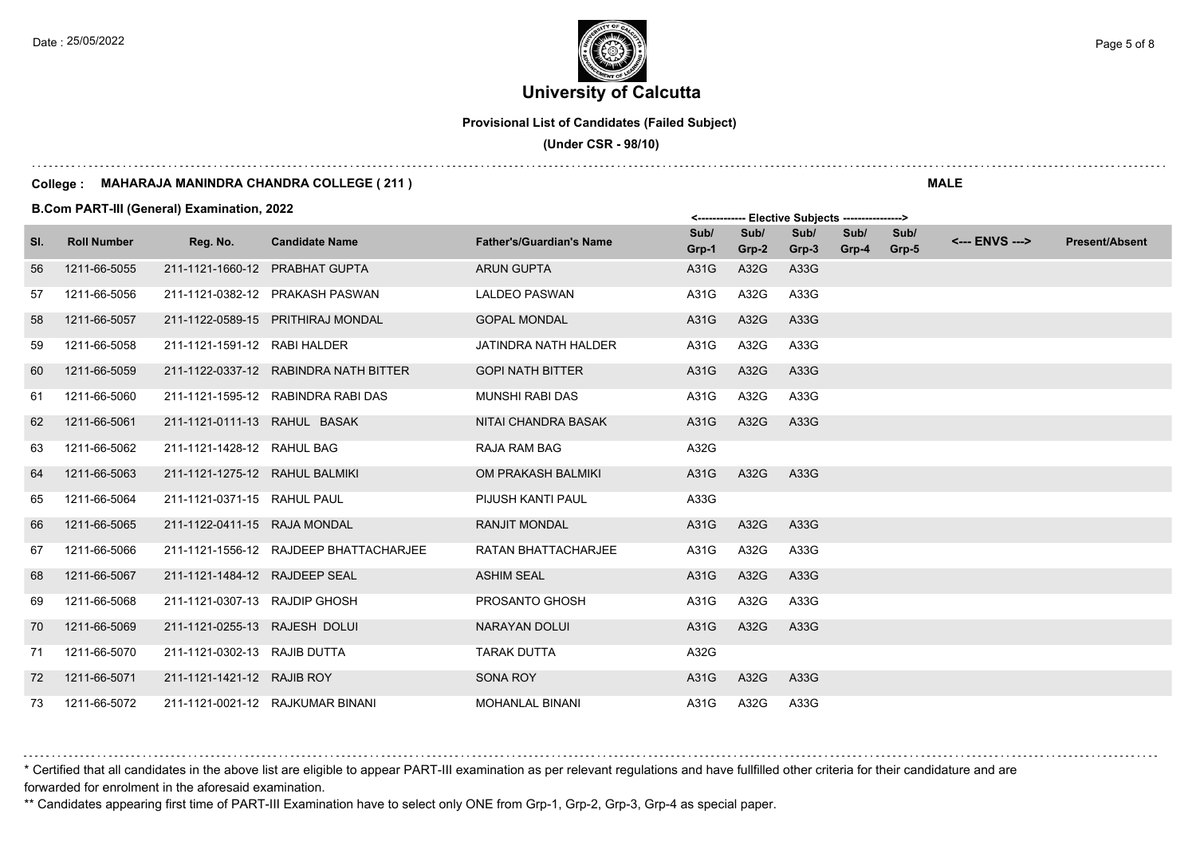# **University of Calcutta**  Date : 25/05/2022 **Page 5 of 8**  $\epsilon$  Page 5 of 8

**Provisional List of Candidates (Failed Subject)**

 **(Under CSR - 98/10)**

#### **College : MAHARAJA MANINDRA CHANDRA COLLEGE ( 211 )**

**B.Com PART-III (General) Examination, 2022**

|     |                    |                                |                                        |                                 |               |               | --------      |               |               |                |                       |
|-----|--------------------|--------------------------------|----------------------------------------|---------------------------------|---------------|---------------|---------------|---------------|---------------|----------------|-----------------------|
| SI. | <b>Roll Number</b> | Reg. No.                       | <b>Candidate Name</b>                  | <b>Father's/Guardian's Name</b> | Sub/<br>Grp-1 | Sub/<br>Grp-2 | Sub/<br>Grp-3 | Sub/<br>Grp-4 | Sub/<br>Grp-5 | <--- ENVS ---> | <b>Present/Absent</b> |
| 56  | 1211-66-5055       |                                | 211-1121-1660-12 PRABHAT GUPTA         | <b>ARUN GUPTA</b>               | A31G          | A32G          | A33G          |               |               |                |                       |
| 57  | 1211-66-5056       |                                | 211-1121-0382-12 PRAKASH PASWAN        | <b>LALDEO PASWAN</b>            | A31G          | A32G          | A33G          |               |               |                |                       |
| 58  | 1211-66-5057       |                                | 211-1122-0589-15 PRITHIRAJ MONDAL      | <b>GOPAL MONDAL</b>             | A31G          | A32G          | A33G          |               |               |                |                       |
| 59  | 1211-66-5058       | 211-1121-1591-12 RABI HALDER   |                                        | JATINDRA NATH HALDER            | A31G          | A32G          | A33G          |               |               |                |                       |
| 60  | 1211-66-5059       |                                | 211-1122-0337-12 RABINDRA NATH BITTER  | <b>GOPI NATH BITTER</b>         | A31G          | A32G          | A33G          |               |               |                |                       |
| 61  | 1211-66-5060       |                                | 211-1121-1595-12 RABINDRA RABI DAS     | <b>MUNSHI RABI DAS</b>          | A31G          | A32G          | A33G          |               |               |                |                       |
| 62  | 1211-66-5061       | 211-1121-0111-13 RAHUL BASAK   |                                        | NITAI CHANDRA BASAK             | A31G          | A32G          | A33G          |               |               |                |                       |
| 63  | 1211-66-5062       | 211-1121-1428-12 RAHUL BAG     |                                        | RAJA RAM BAG                    | A32G          |               |               |               |               |                |                       |
| 64  | 1211-66-5063       | 211-1121-1275-12 RAHUL BALMIKI |                                        | OM PRAKASH BALMIKI              | A31G          | A32G          | A33G          |               |               |                |                       |
| 65  | 1211-66-5064       | 211-1121-0371-15 RAHUL PAUL    |                                        | PIJUSH KANTI PAUL               | A33G          |               |               |               |               |                |                       |
| 66  | 1211-66-5065       | 211-1122-0411-15 RAJA MONDAL   |                                        | <b>RANJIT MONDAL</b>            | A31G          | A32G          | A33G          |               |               |                |                       |
| 67  | 1211-66-5066       |                                | 211-1121-1556-12 RAJDEEP BHATTACHARJEE | <b>RATAN BHATTACHARJEE</b>      | A31G          | A32G          | A33G          |               |               |                |                       |
| 68  | 1211-66-5067       | 211-1121-1484-12 RAJDEEP SEAL  |                                        | <b>ASHIM SEAL</b>               | A31G          | A32G          | A33G          |               |               |                |                       |
| 69  | 1211-66-5068       | 211-1121-0307-13 RAJDIP GHOSH  |                                        | PROSANTO GHOSH                  | A31G          | A32G          | A33G          |               |               |                |                       |
| 70  | 1211-66-5069       | 211-1121-0255-13 RAJESH DOLUI  |                                        | <b>NARAYAN DOLUI</b>            | A31G          | A32G          | A33G          |               |               |                |                       |
| 71  | 1211-66-5070       | 211-1121-0302-13 RAJIB DUTTA   |                                        | <b>TARAK DUTTA</b>              | A32G          |               |               |               |               |                |                       |
| 72  | 1211-66-5071       | 211-1121-1421-12 RAJIB ROY     |                                        | SONA ROY                        | A31G          | A32G          | A33G          |               |               |                |                       |
| 73  | 1211-66-5072       |                                | 211-1121-0021-12 RAJKUMAR BINANI       | <b>MOHANLAL BINANI</b>          | A31G          | A32G          | A33G          |               |               |                |                       |

\* Certified that all candidates in the above list are eligible to appear PART-III examination as per relevant regulations and have fullfilled other criteria for their candidature and are forwarded for enrolment in the aforesaid examination.

\*\* Candidates appearing first time of PART-III Examination have to select only ONE from Grp-1, Grp-2, Grp-3, Grp-4 as special paper.

**MALE**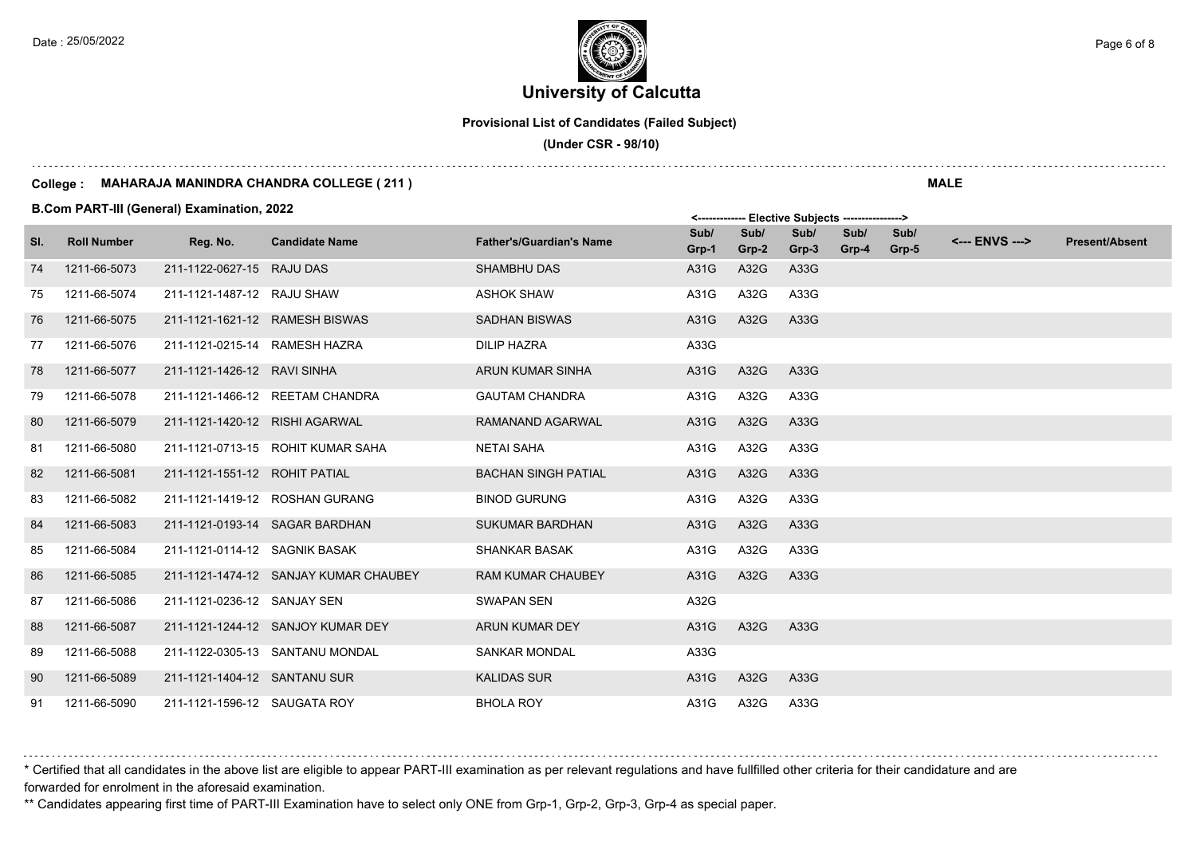# **University of Calcutta**  Date : 25/05/2022 **Page 6 of 8**  $\epsilon$  Page 6 of 8

**Provisional List of Candidates (Failed Subject)**

 **(Under CSR - 98/10)**

#### **College : MAHARAJA MANINDRA CHANDRA COLLEGE ( 211 )**

**B.Com PART-III (General) Examination, 2022**

|     |                    |                                |                                       |                                 |               |               | .             |               |               |                |                       |
|-----|--------------------|--------------------------------|---------------------------------------|---------------------------------|---------------|---------------|---------------|---------------|---------------|----------------|-----------------------|
| SI. | <b>Roll Number</b> | Reg. No.                       | <b>Candidate Name</b>                 | <b>Father's/Guardian's Name</b> | Sub/<br>Grp-1 | Sub/<br>Grp-2 | Sub/<br>Grp-3 | Sub/<br>Grp-4 | Sub/<br>Grp-5 | <--- ENVS ---> | <b>Present/Absent</b> |
| 74  | 1211-66-5073       | 211-1122-0627-15 RAJU DAS      |                                       | <b>SHAMBHU DAS</b>              | A31G          | A32G          | A33G          |               |               |                |                       |
| 75  | 1211-66-5074       | 211-1121-1487-12 RAJU SHAW     |                                       | <b>ASHOK SHAW</b>               | A31G          | A32G          | A33G          |               |               |                |                       |
| 76  | 1211-66-5075       | 211-1121-1621-12 RAMESH BISWAS |                                       | <b>SADHAN BISWAS</b>            | A31G          | A32G          | A33G          |               |               |                |                       |
| 77  | 1211-66-5076       | 211-1121-0215-14 RAMESH HAZRA  |                                       | <b>DILIP HAZRA</b>              | A33G          |               |               |               |               |                |                       |
| 78  | 1211-66-5077       | 211-1121-1426-12 RAVI SINHA    |                                       | ARUN KUMAR SINHA                | A31G          | A32G          | A33G          |               |               |                |                       |
| 79  | 1211-66-5078       |                                | 211-1121-1466-12 REETAM CHANDRA       | <b>GAUTAM CHANDRA</b>           | A31G          | A32G          | A33G          |               |               |                |                       |
| 80  | 1211-66-5079       | 211-1121-1420-12 RISHI AGARWAL |                                       | RAMANAND AGARWAL                | A31G          | A32G          | A33G          |               |               |                |                       |
| 81  | 1211-66-5080       |                                | 211-1121-0713-15 ROHIT KUMAR SAHA     | <b>NETAI SAHA</b>               | A31G          | A32G          | A33G          |               |               |                |                       |
| 82  | 1211-66-5081       | 211-1121-1551-12 ROHIT PATIAL  |                                       | <b>BACHAN SINGH PATIAL</b>      | A31G          | A32G          | A33G          |               |               |                |                       |
| 83  | 1211-66-5082       |                                | 211-1121-1419-12 ROSHAN GURANG        | <b>BINOD GURUNG</b>             | A31G          | A32G          | A33G          |               |               |                |                       |
| 84  | 1211-66-5083       |                                | 211-1121-0193-14 SAGAR BARDHAN        | <b>SUKUMAR BARDHAN</b>          | A31G          | A32G          | A33G          |               |               |                |                       |
| 85  | 1211-66-5084       | 211-1121-0114-12 SAGNIK BASAK  |                                       | <b>SHANKAR BASAK</b>            | A31G          | A32G          | A33G          |               |               |                |                       |
| 86  | 1211-66-5085       |                                | 211-1121-1474-12 SANJAY KUMAR CHAUBEY | <b>RAM KUMAR CHAUBEY</b>        | A31G          | A32G          | A33G          |               |               |                |                       |
| 87  | 1211-66-5086       | 211-1121-0236-12 SANJAY SEN    |                                       | <b>SWAPAN SEN</b>               | A32G          |               |               |               |               |                |                       |
| 88  | 1211-66-5087       |                                | 211-1121-1244-12 SANJOY KUMAR DEY     | <b>ARUN KUMAR DEY</b>           | A31G          | A32G          | A33G          |               |               |                |                       |
| 89  | 1211-66-5088       |                                | 211-1122-0305-13 SANTANU MONDAL       | <b>SANKAR MONDAL</b>            | A33G          |               |               |               |               |                |                       |
| 90  | 1211-66-5089       | 211-1121-1404-12 SANTANU SUR   |                                       | <b>KALIDAS SUR</b>              | A31G          | A32G          | A33G          |               |               |                |                       |
| 91  | 1211-66-5090       | 211-1121-1596-12 SAUGATA ROY   |                                       | <b>BHOLA ROY</b>                | A31G          | A32G          | A33G          |               |               |                |                       |

\* Certified that all candidates in the above list are eligible to appear PART-III examination as per relevant regulations and have fullfilled other criteria for their candidature and are forwarded for enrolment in the aforesaid examination.

\*\* Candidates appearing first time of PART-III Examination have to select only ONE from Grp-1, Grp-2, Grp-3, Grp-4 as special paper.

**MALE**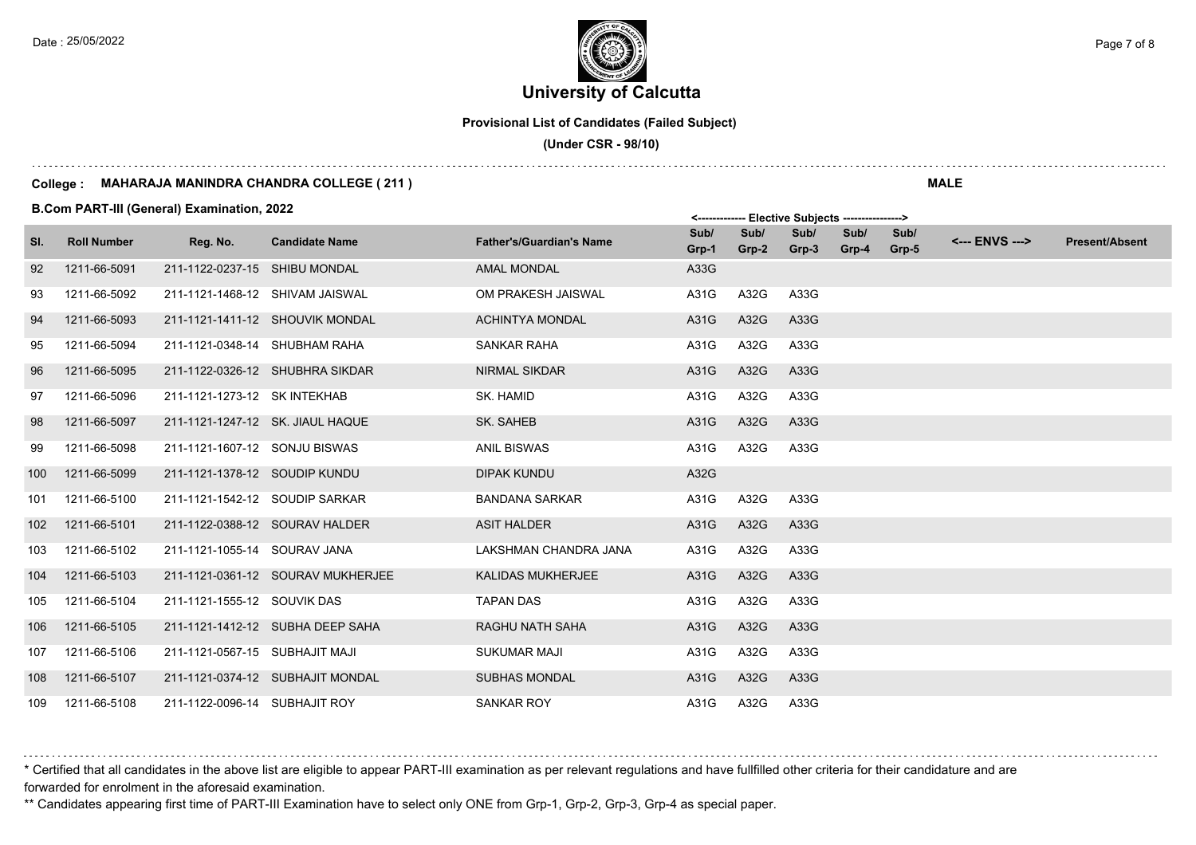### **University of Calcutta**  Date : 25/05/2022 **Page 7 of 8**  $\epsilon$  Page 7 of 8

**Provisional List of Candidates (Failed Subject)**

 **(Under CSR - 98/10)**

#### **College : MAHARAJA MANINDRA CHANDRA COLLEGE ( 211 )**

**B.Com PART-III (General) Examination, 2022**

|     | <b>D.COM FAILE THE GENERAL LAGINING LOTE</b> |                                |                                   |                                 |               | <------------- Elective Subjects ----------------> |               |               |               |                |                       |  |
|-----|----------------------------------------------|--------------------------------|-----------------------------------|---------------------------------|---------------|----------------------------------------------------|---------------|---------------|---------------|----------------|-----------------------|--|
| SI. | <b>Roll Number</b>                           | Reg. No.                       | <b>Candidate Name</b>             | <b>Father's/Guardian's Name</b> | Sub/<br>Grp-1 | Sub/<br>Grp-2                                      | Sub/<br>Grp-3 | Sub/<br>Grp-4 | Sub/<br>Grp-5 | <--- ENVS ---> | <b>Present/Absent</b> |  |
| 92  | 1211-66-5091                                 | 211-1122-0237-15 SHIBU MONDAL  |                                   | <b>AMAL MONDAL</b>              | A33G          |                                                    |               |               |               |                |                       |  |
| 93  | 1211-66-5092                                 |                                | 211-1121-1468-12 SHIVAM JAISWAL   | OM PRAKESH JAISWAL              | A31G          | A32G                                               | A33G          |               |               |                |                       |  |
| 94  | 1211-66-5093                                 |                                | 211-1121-1411-12 SHOUVIK MONDAL   | <b>ACHINTYA MONDAL</b>          | A31G          | A32G                                               | A33G          |               |               |                |                       |  |
| 95  | 1211-66-5094                                 | 211-1121-0348-14 SHUBHAM RAHA  |                                   | <b>SANKAR RAHA</b>              | A31G          | A32G                                               | A33G          |               |               |                |                       |  |
| 96  | 1211-66-5095                                 |                                | 211-1122-0326-12 SHUBHRA SIKDAR   | <b>NIRMAL SIKDAR</b>            | A31G          | A32G                                               | A33G          |               |               |                |                       |  |
| 97  | 1211-66-5096                                 | 211-1121-1273-12 SK INTEKHAB   |                                   | SK. HAMID                       | A31G          | A32G                                               | A33G          |               |               |                |                       |  |
| 98  | 1211-66-5097                                 |                                | 211-1121-1247-12 SK. JIAUL HAQUE  | SK. SAHEB                       | A31G          | A32G                                               | A33G          |               |               |                |                       |  |
| 99  | 1211-66-5098                                 | 211-1121-1607-12 SONJU BISWAS  |                                   | <b>ANIL BISWAS</b>              | A31G          | A32G                                               | A33G          |               |               |                |                       |  |
| 100 | 1211-66-5099                                 | 211-1121-1378-12 SOUDIP KUNDU  |                                   | DIPAK KUNDU                     | A32G          |                                                    |               |               |               |                |                       |  |
| 101 | 1211-66-5100                                 | 211-1121-1542-12 SOUDIP SARKAR |                                   | <b>BANDANA SARKAR</b>           | A31G          | A32G                                               | A33G          |               |               |                |                       |  |
| 102 | 1211-66-5101                                 |                                | 211-1122-0388-12 SOURAV HALDER    | <b>ASIT HALDER</b>              | A31G          | A32G                                               | A33G          |               |               |                |                       |  |
| 103 | 1211-66-5102                                 | 211-1121-1055-14 SOURAV JANA   |                                   | LAKSHMAN CHANDRA JANA           | A31G          | A32G                                               | A33G          |               |               |                |                       |  |
| 104 | 1211-66-5103                                 |                                | 211-1121-0361-12 SOURAV MUKHERJEE | KALIDAS MUKHERJEE               | A31G          | A32G                                               | A33G          |               |               |                |                       |  |
| 105 | 1211-66-5104                                 | 211-1121-1555-12 SOUVIK DAS    |                                   | <b>TAPAN DAS</b>                | A31G          | A32G                                               | A33G          |               |               |                |                       |  |
| 106 | 1211-66-5105                                 |                                | 211-1121-1412-12 SUBHA DEEP SAHA  | RAGHU NATH SAHA                 | A31G          | A32G                                               | A33G          |               |               |                |                       |  |
| 107 | 1211-66-5106                                 | 211-1121-0567-15 SUBHAJIT MAJI |                                   | <b>SUKUMAR MAJI</b>             | A31G          | A32G                                               | A33G          |               |               |                |                       |  |
| 108 | 1211-66-5107                                 |                                | 211-1121-0374-12 SUBHAJIT MONDAL  | <b>SUBHAS MONDAL</b>            | A31G          | A32G                                               | A33G          |               |               |                |                       |  |
| 109 | 1211-66-5108                                 | 211-1122-0096-14 SUBHAJIT ROY  |                                   | <b>SANKAR ROY</b>               | A31G          | A32G                                               | A33G          |               |               |                |                       |  |

\* Certified that all candidates in the above list are eligible to appear PART-III examination as per relevant regulations and have fullfilled other criteria for their candidature and are forwarded for enrolment in the aforesaid examination.

\*\* Candidates appearing first time of PART-III Examination have to select only ONE from Grp-1, Grp-2, Grp-3, Grp-4 as special paper.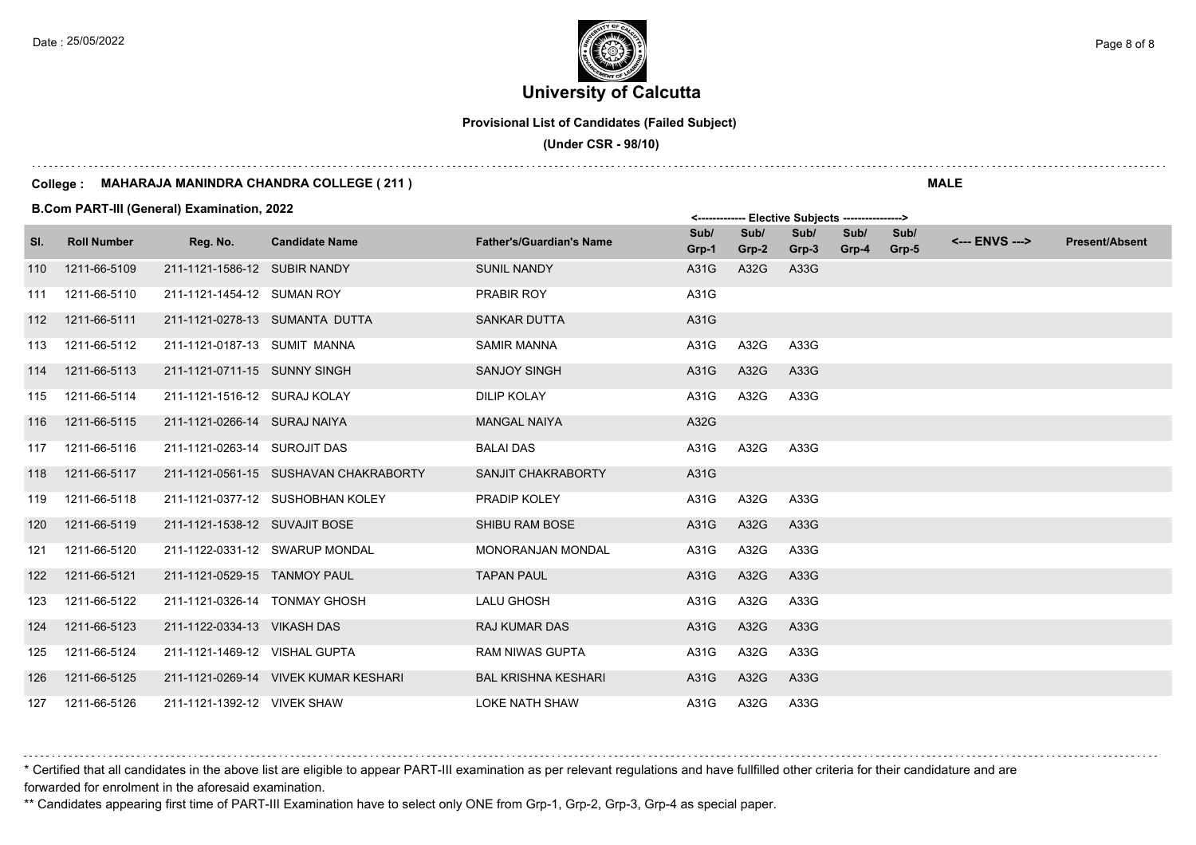### **University of Calcutta**  Date : 25/05/2022 **Page 8 of 8**  $\epsilon$  Page 8 of 8

**Provisional List of Candidates (Failed Subject)**

 **(Under CSR - 98/10)**

#### **College : MAHARAJA MANINDRA CHANDRA COLLEGE ( 211 )**

**B.Com PART-III (General) Examination, 2022**

|     |                    | <b>B.COM PART-IN (General) Examination, 2022</b> |                                       | <------------- Elective Subjects ----------------> |               |               |               |               |               |                |                       |
|-----|--------------------|--------------------------------------------------|---------------------------------------|----------------------------------------------------|---------------|---------------|---------------|---------------|---------------|----------------|-----------------------|
| SI. | <b>Roll Number</b> | Reg. No.                                         | <b>Candidate Name</b>                 | <b>Father's/Guardian's Name</b>                    | Sub/<br>Grp-1 | Sub/<br>Grp-2 | Sub/<br>Grp-3 | Sub/<br>Grp-4 | Sub/<br>Grp-5 | <--- ENVS ---> | <b>Present/Absent</b> |
| 110 | 1211-66-5109       | 211-1121-1586-12 SUBIR NANDY                     |                                       | <b>SUNIL NANDY</b>                                 | A31G          | A32G          | A33G          |               |               |                |                       |
| 111 | 1211-66-5110       | 211-1121-1454-12 SUMAN ROY                       |                                       | PRABIR ROY                                         | A31G          |               |               |               |               |                |                       |
| 112 | 1211-66-5111       |                                                  | 211-1121-0278-13 SUMANTA DUTTA        | <b>SANKAR DUTTA</b>                                | A31G          |               |               |               |               |                |                       |
| 113 | 1211-66-5112       | 211-1121-0187-13 SUMIT MANNA                     |                                       | <b>SAMIR MANNA</b>                                 | A31G          | A32G          | A33G          |               |               |                |                       |
| 114 | 1211-66-5113       | 211-1121-0711-15 SUNNY SINGH                     |                                       | <b>SANJOY SINGH</b>                                | A31G          | A32G          | A33G          |               |               |                |                       |
| 115 | 1211-66-5114       | 211-1121-1516-12 SURAJ KOLAY                     |                                       | <b>DILIP KOLAY</b>                                 | A31G          | A32G          | A33G          |               |               |                |                       |
| 116 | 1211-66-5115       | 211-1121-0266-14 SURAJ NAIYA                     |                                       | <b>MANGAL NAIYA</b>                                | A32G          |               |               |               |               |                |                       |
| 117 | 1211-66-5116       | 211-1121-0263-14 SUROJIT DAS                     |                                       | <b>BALAI DAS</b>                                   | A31G          | A32G          | A33G          |               |               |                |                       |
| 118 | 1211-66-5117       |                                                  | 211-1121-0561-15 SUSHAVAN CHAKRABORTY | <b>SANJIT CHAKRABORTY</b>                          | A31G          |               |               |               |               |                |                       |
| 119 | 1211-66-5118       |                                                  | 211-1121-0377-12 SUSHOBHAN KOLEY      | <b>PRADIP KOLEY</b>                                | A31G          | A32G          | A33G          |               |               |                |                       |
| 120 | 1211-66-5119       | 211-1121-1538-12 SUVAJIT BOSE                    |                                       | <b>SHIBU RAM BOSE</b>                              | A31G          | A32G          | A33G          |               |               |                |                       |
| 121 | 1211-66-5120       |                                                  | 211-1122-0331-12 SWARUP MONDAL        | <b>MONORANJAN MONDAL</b>                           | A31G          | A32G          | A33G          |               |               |                |                       |
| 122 | 1211-66-5121       | 211-1121-0529-15 TANMOY PAUL                     |                                       | <b>TAPAN PAUL</b>                                  | A31G          | A32G          | A33G          |               |               |                |                       |
| 123 | 1211-66-5122       | 211-1121-0326-14 TONMAY GHOSH                    |                                       | LALU GHOSH                                         | A31G          | A32G          | A33G          |               |               |                |                       |
| 124 | 1211-66-5123       | 211-1122-0334-13 VIKASH DAS                      |                                       | <b>RAJ KUMAR DAS</b>                               | A31G          | A32G          | A33G          |               |               |                |                       |
| 125 | 1211-66-5124       | 211-1121-1469-12 VISHAL GUPTA                    |                                       | <b>RAM NIWAS GUPTA</b>                             | A31G          | A32G          | A33G          |               |               |                |                       |
| 126 | 1211-66-5125       |                                                  | 211-1121-0269-14 VIVEK KUMAR KESHARI  | <b>BAL KRISHNA KESHARI</b>                         | A31G          | A32G          | A33G          |               |               |                |                       |
|     | 127  1211-66-5126  | 211-1121-1392-12 VIVEK SHAW                      |                                       | <b>LOKE NATH SHAW</b>                              | A31G          | A32G          | A33G          |               |               |                |                       |

\* Certified that all candidates in the above list are eligible to appear PART-III examination as per relevant regulations and have fullfilled other criteria for their candidature and are forwarded for enrolment in the aforesaid examination.

\*\* Candidates appearing first time of PART-III Examination have to select only ONE from Grp-1, Grp-2, Grp-3, Grp-4 as special paper.